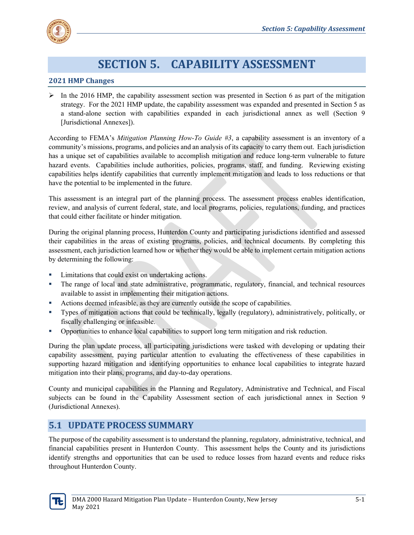

# **SECTION 5. CAPABILITY ASSESSMENT**

#### **2021 HMP Changes**

 $\triangleright$  In the 2016 HMP, the capability assessment section was presented in Section 6 as part of the mitigation strategy. For the 2021 HMP update, the capability assessment was expanded and presented in Section 5 as a stand-alone section with capabilities expanded in each jurisdictional annex as well (Section 9 [Jurisdictional Annexes]).

According to FEMA's *Mitigation Planning How-To Guide #3*, a capability assessment is an inventory of a community's missions, programs, and policies and an analysis of its capacity to carry them out. Each jurisdiction has a unique set of capabilities available to accomplish mitigation and reduce long-term vulnerable to future hazard events. Capabilities include authorities, policies, programs, staff, and funding. Reviewing existing capabilities helps identify capabilities that currently implement mitigation and leads to loss reductions or that have the potential to be implemented in the future.

This assessment is an integral part of the planning process. The assessment process enables identification, review, and analysis of current federal, state, and local programs, policies, regulations, funding, and practices that could either facilitate or hinder mitigation.

During the original planning process, Hunterdon County and participating jurisdictions identified and assessed their capabilities in the areas of existing programs, policies, and technical documents. By completing this assessment, each jurisdiction learned how or whether they would be able to implement certain mitigation actions by determining the following:

- Limitations that could exist on undertaking actions.
- The range of local and state administrative, programmatic, regulatory, financial, and technical resources available to assist in implementing their mitigation actions.
- Actions deemed infeasible, as they are currently outside the scope of capabilities.
- Types of mitigation actions that could be technically, legally (regulatory), administratively, politically, or fiscally challenging or infeasible.
- Opportunities to enhance local capabilities to support long term mitigation and risk reduction.

During the plan update process, all participating jurisdictions were tasked with developing or updating their capability assessment, paying particular attention to evaluating the effectiveness of these capabilities in supporting hazard mitigation and identifying opportunities to enhance local capabilities to integrate hazard mitigation into their plans, programs, and day-to-day operations.

County and municipal capabilities in the Planning and Regulatory, Administrative and Technical, and Fiscal subjects can be found in the Capability Assessment section of each jurisdictional annex in Section 9 (Jurisdictional Annexes).

#### **5.1 UPDATE PROCESS SUMMARY**

The purpose of the capability assessment is to understand the planning, regulatory, administrative, technical, and financial capabilities present in Hunterdon County. This assessment helps the County and its jurisdictions identify strengths and opportunities that can be used to reduce losses from hazard events and reduce risks throughout Hunterdon County.

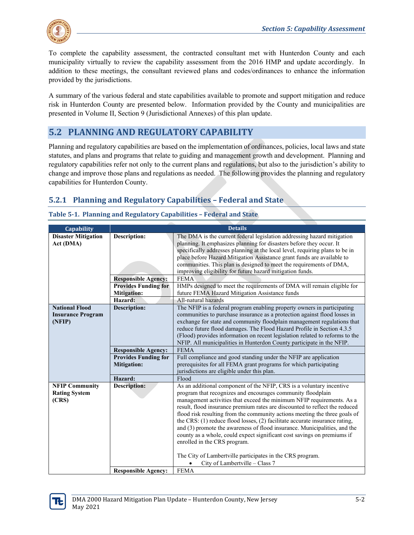To complete the capability assessment, the contracted consultant met with Hunterdon County and each municipality virtually to review the capability assessment from the 2016 HMP and update accordingly. In addition to these meetings, the consultant reviewed plans and codes/ordinances to enhance the information provided by the jurisdictions.

A summary of the various federal and state capabilities available to promote and support mitigation and reduce risk in Hunterdon County are presented below. Information provided by the County and municipalities are presented in Volume II, Section 9 (Jurisdictional Annexes) of this plan update.

# **5.2 PLANNING AND REGULATORY CAPABILITY**

Planning and regulatory capabilities are based on the implementation of ordinances, policies, local laws and state statutes, and plans and programs that relate to guiding and management growth and development. Planning and regulatory capabilities refer not only to the current plans and regulations, but also to the jurisdiction's ability to change and improve those plans and regulations as needed. The following provides the planning and regulatory capabilities for Hunterdon County.

### **5.2.1 Planning and Regulatory Capabilities – Federal and State**

| <b>Capability</b>          |                             | <b>Details</b>                                                               |
|----------------------------|-----------------------------|------------------------------------------------------------------------------|
| <b>Disaster Mitigation</b> | <b>Description:</b>         | The DMA is the current federal legislation addressing hazard mitigation      |
| Act (DMA)                  |                             | planning. It emphasizes planning for disasters before they occur. It         |
|                            |                             | specifically addresses planning at the local level, requiring plans to be in |
|                            |                             | place before Hazard Mitigation Assistance grant funds are available to       |
|                            |                             | communities. This plan is designed to meet the requirements of DMA,          |
|                            |                             | improving eligibility for future hazard mitigation funds.                    |
|                            | <b>Responsible Agency:</b>  | <b>FEMA</b>                                                                  |
|                            | <b>Provides Funding for</b> | HMPs designed to meet the requirements of DMA will remain eligible for       |
|                            | <b>Mitigation:</b>          | future FEMA Hazard Mitigation Assistance funds                               |
|                            | Hazard:                     | All-natural hazards                                                          |
| <b>National Flood</b>      | <b>Description:</b>         | The NFIP is a federal program enabling property owners in participating      |
| <b>Insurance Program</b>   |                             | communities to purchase insurance as a protection against flood losses in    |
| (NFIP)                     |                             | exchange for state and community floodplain management regulations that      |
|                            |                             | reduce future flood damages. The Flood Hazard Profile in Section 4.3.5       |
|                            |                             | (Flood) provides information on recent legislation related to reforms to the |
|                            |                             | NFIP. All municipalities in Hunterdon County participate in the NFIP.        |
|                            | <b>Responsible Agency:</b>  | <b>FEMA</b>                                                                  |
|                            | <b>Provides Funding for</b> | Full compliance and good standing under the NFIP are application             |
|                            | <b>Mitigation:</b>          | prerequisites for all FEMA grant programs for which participating            |
|                            |                             | jurisdictions are eligible under this plan.                                  |
|                            | Hazard:                     | Flood                                                                        |
| <b>NFIP Community</b>      | <b>Description:</b>         | As an additional component of the NFIP, CRS is a voluntary incentive         |
| <b>Rating System</b>       |                             | program that recognizes and encourages community floodplain                  |
| (CRS)                      |                             | management activities that exceed the minimum NFIP requirements. As a        |
|                            |                             | result, flood insurance premium rates are discounted to reflect the reduced  |
|                            |                             | flood risk resulting from the community actions meeting the three goals of   |
|                            |                             | the CRS: (1) reduce flood losses, (2) facilitate accurate insurance rating,  |
|                            |                             | and (3) promote the awareness of flood insurance. Municipalities, and the    |
|                            |                             | county as a whole, could expect significant cost savings on premiums if      |
|                            |                             | enrolled in the CRS program.                                                 |
|                            |                             |                                                                              |
|                            |                             | The City of Lambertville participates in the CRS program.                    |
|                            |                             | City of Lambertville - Class 7                                               |
|                            | <b>Responsible Agency:</b>  | <b>FEMA</b>                                                                  |

#### **Table 5-1. Planning and Regulatory Capabilities – Federal and State**

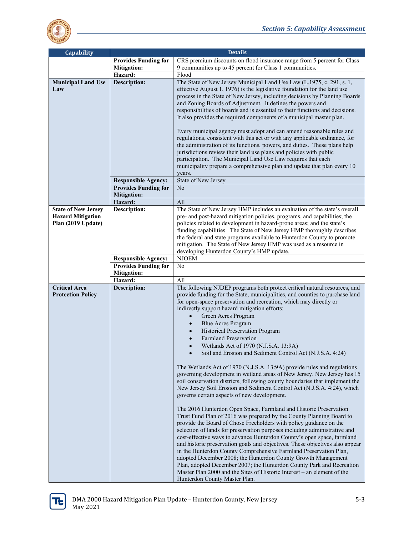

| Capability                                                                   |                             | <b>Details</b>                                                                                                                                                                                                                                                                                                                                                                                                                                                                                                                                                                                                                                                                                                                                                                                                                                                                                                                                                                                                                                                                                                                                                                                                                                                                                                                                                                                                                                                                                                                                                                                                                                                          |
|------------------------------------------------------------------------------|-----------------------------|-------------------------------------------------------------------------------------------------------------------------------------------------------------------------------------------------------------------------------------------------------------------------------------------------------------------------------------------------------------------------------------------------------------------------------------------------------------------------------------------------------------------------------------------------------------------------------------------------------------------------------------------------------------------------------------------------------------------------------------------------------------------------------------------------------------------------------------------------------------------------------------------------------------------------------------------------------------------------------------------------------------------------------------------------------------------------------------------------------------------------------------------------------------------------------------------------------------------------------------------------------------------------------------------------------------------------------------------------------------------------------------------------------------------------------------------------------------------------------------------------------------------------------------------------------------------------------------------------------------------------------------------------------------------------|
|                                                                              | <b>Provides Funding for</b> | CRS premium discounts on flood insurance range from 5 percent for Class                                                                                                                                                                                                                                                                                                                                                                                                                                                                                                                                                                                                                                                                                                                                                                                                                                                                                                                                                                                                                                                                                                                                                                                                                                                                                                                                                                                                                                                                                                                                                                                                 |
|                                                                              | <b>Mitigation:</b>          | 9 communities up to 45 percent for Class 1 communities.                                                                                                                                                                                                                                                                                                                                                                                                                                                                                                                                                                                                                                                                                                                                                                                                                                                                                                                                                                                                                                                                                                                                                                                                                                                                                                                                                                                                                                                                                                                                                                                                                 |
|                                                                              | Hazard:                     | Flood                                                                                                                                                                                                                                                                                                                                                                                                                                                                                                                                                                                                                                                                                                                                                                                                                                                                                                                                                                                                                                                                                                                                                                                                                                                                                                                                                                                                                                                                                                                                                                                                                                                                   |
| <b>Municipal Land Use</b><br>Law                                             | <b>Description:</b>         | The State of New Jersey Municipal Land Use Law (L.1975, c. 291, s. 1,<br>effective August 1, 1976) is the legislative foundation for the land use<br>process in the State of New Jersey, including decisions by Planning Boards<br>and Zoning Boards of Adjustment. It defines the powers and<br>responsibilities of boards and is essential to their functions and decisions.<br>It also provides the required components of a municipal master plan.<br>Every municipal agency must adopt and can amend reasonable rules and                                                                                                                                                                                                                                                                                                                                                                                                                                                                                                                                                                                                                                                                                                                                                                                                                                                                                                                                                                                                                                                                                                                                          |
|                                                                              | <b>Responsible Agency:</b>  | regulations, consistent with this act or with any applicable ordinance, for<br>the administration of its functions, powers, and duties. These plans help<br>jurisdictions review their land use plans and policies with public<br>participation. The Municipal Land Use Law requires that each<br>municipality prepare a comprehensive plan and update that plan every 10<br>years.<br>State of New Jersey                                                                                                                                                                                                                                                                                                                                                                                                                                                                                                                                                                                                                                                                                                                                                                                                                                                                                                                                                                                                                                                                                                                                                                                                                                                              |
|                                                                              | <b>Provides Funding for</b> | No                                                                                                                                                                                                                                                                                                                                                                                                                                                                                                                                                                                                                                                                                                                                                                                                                                                                                                                                                                                                                                                                                                                                                                                                                                                                                                                                                                                                                                                                                                                                                                                                                                                                      |
|                                                                              | <b>Mitigation:</b>          |                                                                                                                                                                                                                                                                                                                                                                                                                                                                                                                                                                                                                                                                                                                                                                                                                                                                                                                                                                                                                                                                                                                                                                                                                                                                                                                                                                                                                                                                                                                                                                                                                                                                         |
|                                                                              | Hazard:                     | All                                                                                                                                                                                                                                                                                                                                                                                                                                                                                                                                                                                                                                                                                                                                                                                                                                                                                                                                                                                                                                                                                                                                                                                                                                                                                                                                                                                                                                                                                                                                                                                                                                                                     |
| <b>State of New Jersey</b><br><b>Hazard Mitigation</b><br>Plan (2019 Update) | <b>Description:</b>         | The State of New Jersey HMP includes an evaluation of the state's overall<br>pre- and post-hazard mitigation policies, programs, and capabilities; the<br>policies related to development in hazard-prone areas; and the state's<br>funding capabilities. The State of New Jersey HMP thoroughly describes<br>the federal and state programs available to Hunterdon County to promote<br>mitigation. The State of New Jersey HMP was used as a resource in<br>developing Hunterdon County's HMP update.                                                                                                                                                                                                                                                                                                                                                                                                                                                                                                                                                                                                                                                                                                                                                                                                                                                                                                                                                                                                                                                                                                                                                                 |
|                                                                              | <b>Responsible Agency:</b>  | <b>NJOEM</b>                                                                                                                                                                                                                                                                                                                                                                                                                                                                                                                                                                                                                                                                                                                                                                                                                                                                                                                                                                                                                                                                                                                                                                                                                                                                                                                                                                                                                                                                                                                                                                                                                                                            |
|                                                                              | <b>Provides Funding for</b> | No                                                                                                                                                                                                                                                                                                                                                                                                                                                                                                                                                                                                                                                                                                                                                                                                                                                                                                                                                                                                                                                                                                                                                                                                                                                                                                                                                                                                                                                                                                                                                                                                                                                                      |
|                                                                              | <b>Mitigation:</b>          |                                                                                                                                                                                                                                                                                                                                                                                                                                                                                                                                                                                                                                                                                                                                                                                                                                                                                                                                                                                                                                                                                                                                                                                                                                                                                                                                                                                                                                                                                                                                                                                                                                                                         |
|                                                                              | Hazard:                     | All                                                                                                                                                                                                                                                                                                                                                                                                                                                                                                                                                                                                                                                                                                                                                                                                                                                                                                                                                                                                                                                                                                                                                                                                                                                                                                                                                                                                                                                                                                                                                                                                                                                                     |
| <b>Critical Area</b><br><b>Protection Policy</b>                             | <b>Description:</b>         | The following NJDEP programs both protect critical natural resources, and<br>provide funding for the State, municipalities, and counties to purchase land<br>for open-space preservation and recreation, which may directly or<br>indirectly support hazard mitigation efforts:<br>Green Acres Program<br><b>Blue Acres Program</b><br><b>Historical Preservation Program</b><br><b>Farmland Preservation</b><br>Wetlands Act of 1970 (N.J.S.A. 13:9A)<br>Soil and Erosion and Sediment Control Act (N.J.S.A. 4:24)<br>The Wetlands Act of 1970 (N.J.S.A. 13:9A) provide rules and regulations<br>governing development in wetland areas of New Jersey. New Jersey has 15<br>soil conservation districts, following county boundaries that implement the<br>New Jersey Soil Erosion and Sediment Control Act (N.J.S.A. 4:24), which<br>governs certain aspects of new development.<br>The 2016 Hunterdon Open Space, Farmland and Historic Preservation<br>Trust Fund Plan of 2016 was prepared by the County Planning Board to<br>provide the Board of Chose Freeholders with policy guidance on the<br>selection of lands for preservation purposes including administrative and<br>cost-effective ways to advance Hunterdon County's open space, farmland<br>and historic preservation goals and objectives. These objectives also appear<br>in the Hunterdon County Comprehensive Farmland Preservation Plan,<br>adopted December 2008; the Hunterdon County Growth Management<br>Plan, adopted December 2007; the Hunterdon County Park and Recreation<br>Master Plan 2000 and the Sites of Historic Interest – an element of the<br>Hunterdon County Master Plan. |

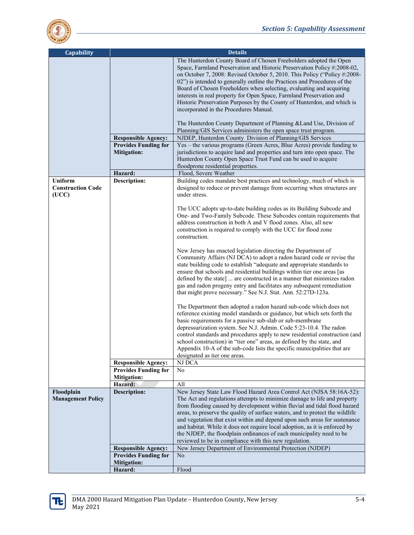

| <b>Capability</b>                      |                                                   | <b>Details</b>                                                                                                                                                                                                                                                                                                                                                                                                                                                                                                                                                                                                |
|----------------------------------------|---------------------------------------------------|---------------------------------------------------------------------------------------------------------------------------------------------------------------------------------------------------------------------------------------------------------------------------------------------------------------------------------------------------------------------------------------------------------------------------------------------------------------------------------------------------------------------------------------------------------------------------------------------------------------|
|                                        |                                                   | The Hunterdon County Board of Chosen Freeholders adopted the Open<br>Space, Farmland Preservation and Historic Preservation Policy #:2008-02,<br>on October 7, 2008: Revised October 5, 2010. This Policy ("Policy #:2008-<br>02") is intended to generally outline the Practices and Procedures of the<br>Board of Chosen Freeholders when selecting, evaluating and acquiring<br>interests in real property for Open Space, Farmland Preservation and<br>Historic Preservation Purposes by the County of Hunterdon, and which is<br>incorporated in the Procedures Manual.                                  |
|                                        |                                                   | The Hunterdon County Department of Planning & Land Use, Division of<br>Planning/GIS Services administers the open space trust program.                                                                                                                                                                                                                                                                                                                                                                                                                                                                        |
|                                        | <b>Responsible Agency:</b>                        | NJDEP, Hunterdon County Division of Planning/GIS Services                                                                                                                                                                                                                                                                                                                                                                                                                                                                                                                                                     |
|                                        | <b>Provides Funding for</b><br><b>Mitigation:</b> | Yes – the various programs (Green Acres, Blue Acres) provide funding to<br>jurisdictions to acquire land and properties and turn into open space. The<br>Hunterdon County Open Space Trust Fund can be used to acquire                                                                                                                                                                                                                                                                                                                                                                                        |
|                                        |                                                   | floodprone residential properties.                                                                                                                                                                                                                                                                                                                                                                                                                                                                                                                                                                            |
| <b>Uniform</b>                         | Hazard:<br><b>Description:</b>                    | Flood, Severe Weather<br>Building codes mandate best practices and technology, much of which is                                                                                                                                                                                                                                                                                                                                                                                                                                                                                                               |
| <b>Construction Code</b><br>(UCC)      |                                                   | designed to reduce or prevent damage from occurring when structures are<br>under stress.                                                                                                                                                                                                                                                                                                                                                                                                                                                                                                                      |
|                                        |                                                   | The UCC adopts up-to-date building codes as its Building Subcode and<br>One- and Two-Family Subcode. These Subcodes contain requirements that<br>address construction in both A and V flood zones. Also, all new<br>construction is required to comply with the UCC for flood zone<br>construction.                                                                                                                                                                                                                                                                                                           |
|                                        |                                                   | New Jersey has enacted legislation directing the Department of<br>Community Affairs (NJ DCA) to adopt a radon hazard code or revise the<br>state building code to establish "adequate and appropriate standards to<br>ensure that schools and residential buildings within tier one areas [as<br>defined by the state]  are constructed in a manner that minimizes radon<br>gas and radon progeny entry and facilitates any subsequent remediation<br>that might prove necessary." See N.J. Stat. Ann. 52:27D-123a.                                                                                           |
|                                        |                                                   | The Department then adopted a radon hazard sub-code which does not<br>reference existing model standards or guidance, but which sets forth the<br>basic requirements for a passive sub-slab or sub-membrane<br>depressurization system. See N.J. Admin. Code 5:23-10.4. The radon<br>control standards and procedures apply to new residential construction (and<br>school construction) in "tier one" areas, as defined by the state, and<br>Appendix 10-A of the sub-code lists the specific municipalities that are<br>designated as tier one areas.                                                       |
|                                        | <b>Responsible Agency:</b>                        | NJ DCA                                                                                                                                                                                                                                                                                                                                                                                                                                                                                                                                                                                                        |
|                                        | <b>Provides Funding for</b><br><b>Mitigation:</b> | No                                                                                                                                                                                                                                                                                                                                                                                                                                                                                                                                                                                                            |
|                                        | Hazard:                                           | All                                                                                                                                                                                                                                                                                                                                                                                                                                                                                                                                                                                                           |
| Floodplain<br><b>Management Policy</b> | <b>Description:</b>                               | New Jersey State Law Flood Hazard Area Control Act (NJSA 58:16A-52):<br>The Act and regulations attempts to minimize damage to life and property<br>from flooding caused by development within fluvial and tidal flood hazard<br>areas, to preserve the quality of surface waters, and to protect the wildlife<br>and vegetation that exist within and depend upon such areas for sustenance<br>and habitat. While it does not require local adoption, as it is enforced by<br>the NJDEP, the floodplain ordinances of each municipality need to be<br>reviewed to be in compliance with this new regulation. |
|                                        | <b>Responsible Agency:</b>                        | New Jersey Department of Environmental Protection (NJDEP)                                                                                                                                                                                                                                                                                                                                                                                                                                                                                                                                                     |
|                                        | <b>Provides Funding for</b><br><b>Mitigation:</b> | No                                                                                                                                                                                                                                                                                                                                                                                                                                                                                                                                                                                                            |
|                                        | Hazard:                                           | Flood                                                                                                                                                                                                                                                                                                                                                                                                                                                                                                                                                                                                         |

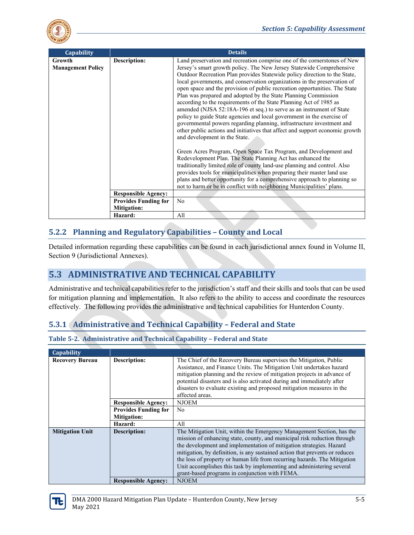

| Capability                         |                             | <b>Details</b>                                                                                                                                                                                                                                                                                                                                                                                                                                                                                                                                                                                                                                                                                                                                                                                                                                                                                                                                                                                                                                                                             |
|------------------------------------|-----------------------------|--------------------------------------------------------------------------------------------------------------------------------------------------------------------------------------------------------------------------------------------------------------------------------------------------------------------------------------------------------------------------------------------------------------------------------------------------------------------------------------------------------------------------------------------------------------------------------------------------------------------------------------------------------------------------------------------------------------------------------------------------------------------------------------------------------------------------------------------------------------------------------------------------------------------------------------------------------------------------------------------------------------------------------------------------------------------------------------------|
| Growth<br><b>Management Policy</b> | Description:                | Land preservation and recreation comprise one of the cornerstones of New<br>Jersey's smart growth policy. The New Jersey Statewide Comprehensive<br>Outdoor Recreation Plan provides Statewide policy direction to the State,<br>local governments, and conservation organizations in the preservation of<br>open space and the provision of public recreation opportunities. The State<br>Plan was prepared and adopted by the State Planning Commission<br>according to the requirements of the State Planning Act of 1985 as<br>amended (NJSA 52:18A-196 et seq.) to serve as an instrument of State<br>policy to guide State agencies and local government in the exercise of<br>governmental powers regarding planning, infrastructure investment and<br>other public actions and initiatives that affect and support economic growth<br>and development in the State.<br>Green Acres Program, Open Space Tax Program, and Development and<br>Redevelopment Plan. The State Planning Act has enhanced the<br>traditionally limited role of county land-use planning and control. Also |
|                                    |                             | provides tools for municipalities when preparing their master land use<br>plans and better opportunity for a comprehensive approach to planning so<br>not to harm or be in conflict with neighboring Municipalities' plans.                                                                                                                                                                                                                                                                                                                                                                                                                                                                                                                                                                                                                                                                                                                                                                                                                                                                |
|                                    | <b>Responsible Agency:</b>  |                                                                                                                                                                                                                                                                                                                                                                                                                                                                                                                                                                                                                                                                                                                                                                                                                                                                                                                                                                                                                                                                                            |
|                                    | <b>Provides Funding for</b> | N <sub>o</sub>                                                                                                                                                                                                                                                                                                                                                                                                                                                                                                                                                                                                                                                                                                                                                                                                                                                                                                                                                                                                                                                                             |
|                                    | <b>Mitigation:</b>          |                                                                                                                                                                                                                                                                                                                                                                                                                                                                                                                                                                                                                                                                                                                                                                                                                                                                                                                                                                                                                                                                                            |
|                                    | Hazard:                     | All                                                                                                                                                                                                                                                                                                                                                                                                                                                                                                                                                                                                                                                                                                                                                                                                                                                                                                                                                                                                                                                                                        |

### **5.2.2 Planning and Regulatory Capabilities – County and Local**

Detailed information regarding these capabilities can be found in each jurisdictional annex found in Volume II, Section 9 (Jurisdictional Annexes).

# **5.3 ADMINISTRATIVE AND TECHNICAL CAPABILITY**

Administrative and technical capabilities refer to the jurisdiction's staff and their skills and tools that can be used for mitigation planning and implementation. It also refers to the ability to access and coordinate the resources effectively. The following provides the administrative and technical capabilities for Hunterdon County.

### **5.3.1 Administrative and Technical Capability – Federal and State**

| Capability             |                             |                                                                                                                                                                                                                                                                                                                                                                                                                                                                                                                 |
|------------------------|-----------------------------|-----------------------------------------------------------------------------------------------------------------------------------------------------------------------------------------------------------------------------------------------------------------------------------------------------------------------------------------------------------------------------------------------------------------------------------------------------------------------------------------------------------------|
| <b>Recovery Bureau</b> | <b>Description:</b>         | The Chief of the Recovery Bureau supervises the Mitigation, Public<br>Assistance, and Finance Units. The Mitigation Unit undertakes hazard<br>mitigation planning and the review of mitigation projects in advance of<br>potential disasters and is also activated during and immediately after<br>disasters to evaluate existing and proposed mitigation measures in the<br>affected areas.                                                                                                                    |
|                        | <b>Responsible Agency:</b>  | <b>NJOEM</b>                                                                                                                                                                                                                                                                                                                                                                                                                                                                                                    |
|                        | <b>Provides Funding for</b> | N <sub>0</sub>                                                                                                                                                                                                                                                                                                                                                                                                                                                                                                  |
|                        | <b>Mitigation:</b>          |                                                                                                                                                                                                                                                                                                                                                                                                                                                                                                                 |
|                        | Hazard:                     | All                                                                                                                                                                                                                                                                                                                                                                                                                                                                                                             |
| <b>Mitigation Unit</b> | <b>Description:</b>         | The Mitigation Unit, within the Emergency Management Section, has the<br>mission of enhancing state, county, and municipal risk reduction through<br>the development and implementation of mitigation strategies. Hazard<br>mitigation, by definition, is any sustained action that prevents or reduces<br>the loss of property or human life from recurring hazards. The Mitigation<br>Unit accomplishes this task by implementing and administering several<br>grant-based programs in conjunction with FEMA. |
|                        | <b>Responsible Agency:</b>  | <b>NJOEM</b>                                                                                                                                                                                                                                                                                                                                                                                                                                                                                                    |

**Table 5-2. Administrative and Technical Capability – Federal and State**

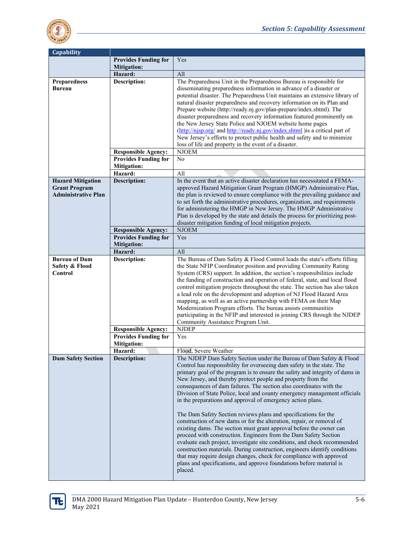

| <b>Capability</b>                                |                             |                                                                               |
|--------------------------------------------------|-----------------------------|-------------------------------------------------------------------------------|
|                                                  | <b>Provides Funding for</b> | Yes                                                                           |
|                                                  | <b>Mitigation:</b>          |                                                                               |
|                                                  | Hazard:                     | All                                                                           |
| Preparedness                                     | Description:                | The Preparedness Unit in the Preparedness Bureau is responsible for           |
| <b>Bureau</b>                                    |                             | disseminating preparedness information in advance of a disaster or            |
|                                                  |                             | potential disaster. The Preparedness Unit maintains an extensive library of   |
|                                                  |                             | natural disaster preparedness and recovery information on its Plan and        |
|                                                  |                             | Prepare website (http://ready.nj.gov/plan-prepare/index.shtml). The           |
|                                                  |                             | disaster preparedness and recovery information featured prominently on        |
|                                                  |                             | the New Jersey State Police and NJOEM website home pages                      |
|                                                  |                             | (http://nisp.org/ and http://ready.nj.gov/index.shtml ) is a critical part of |
|                                                  |                             | New Jersey's efforts to protect public health and safety and to minimize      |
|                                                  |                             | loss of life and property in the event of a disaster.                         |
|                                                  | <b>Responsible Agency:</b>  | <b>NJOEM</b>                                                                  |
|                                                  | <b>Provides Funding for</b> | N <sub>o</sub>                                                                |
|                                                  | <b>Mitigation:</b>          |                                                                               |
|                                                  | Hazard:                     | All                                                                           |
|                                                  | <b>Description:</b>         | In the event that an active disaster declaration has necessitated a FEMA-     |
| <b>Hazard Mitigation</b><br><b>Grant Program</b> |                             | approved Hazard Mitigation Grant Program (HMGP) Administrative Plan,          |
| <b>Administrative Plan</b>                       |                             | the plan is reviewed to ensure compliance with the prevailing guidance and    |
|                                                  |                             | to set forth the administrative procedures, organization, and requirements    |
|                                                  |                             | for administering the HMGP in New Jersey. The HMGP Administrative             |
|                                                  |                             | Plan is developed by the state and details the process for prioritizing post- |
|                                                  |                             | disaster mitigation funding of local mitigation projects.                     |
|                                                  | <b>Responsible Agency:</b>  | <b>NJOEM</b>                                                                  |
|                                                  | <b>Provides Funding for</b> | Yes                                                                           |
|                                                  | <b>Mitigation:</b>          |                                                                               |
|                                                  | Hazard:                     | All                                                                           |
| <b>Bureau of Dam</b>                             | <b>Description:</b>         | The Bureau of Dam Safety & Flood Control leads the state's efforts filling    |
| Safety & Flood                                   |                             | the State NFIP Coordinator position and providing Community Rating            |
| Control                                          |                             | System (CRS) support. In addition, the section's responsibilities include     |
|                                                  |                             | the funding of construction and operation of federal, state, and local flood  |
|                                                  |                             | control mitigation projects throughout the state. The section has also taken  |
|                                                  |                             | a lead role on the development and adoption of NJ Flood Hazard Area           |
|                                                  |                             | mapping, as well as an active partnership with FEMA on their Map              |
|                                                  |                             | Modernization Program efforts. The bureau assists communities                 |
|                                                  |                             | participating in the NFIP and interested in joining CRS through the NJDEP     |
|                                                  |                             | Community Assistance Program Unit.                                            |
|                                                  | <b>Responsible Agency:</b>  | <b>NJDEP</b>                                                                  |
|                                                  | <b>Provides Funding for</b> | Yes                                                                           |
|                                                  | <b>Mitigation:</b>          |                                                                               |
|                                                  | Hazard:                     | Flood, Severe Weather                                                         |
| <b>Dam Safety Section</b>                        | Description:                | The NJDEP Dam Safety Section under the Bureau of Dam Safety & Flood           |
|                                                  |                             | Control has responsibility for overseeing dam safety in the state. The        |
|                                                  |                             | primary goal of the program is to ensure the safety and integrity of dams in  |
|                                                  |                             | New Jersey, and thereby protect people and property from the                  |
|                                                  |                             | consequences of dam failures. The section also coordinates with the           |
|                                                  |                             | Division of State Police, local and county emergency management officials     |
|                                                  |                             | in the preparations and approval of emergency action plans.                   |
|                                                  |                             |                                                                               |
|                                                  |                             | The Dam Safety Section reviews plans and specifications for the               |
|                                                  |                             | construction of new dams or for the alteration, repair, or removal of         |
|                                                  |                             | existing dams. The section must grant approval before the owner can           |
|                                                  |                             | proceed with construction. Engineers from the Dam Safety Section              |
|                                                  |                             | evaluate each project, investigate site conditions, and check recommended     |
|                                                  |                             | construction materials. During construction, engineers identify conditions    |
|                                                  |                             | that may require design changes, check for compliance with approved           |
|                                                  |                             | plans and specifications, and approve foundations before material is          |
|                                                  |                             | placed.                                                                       |
|                                                  |                             |                                                                               |

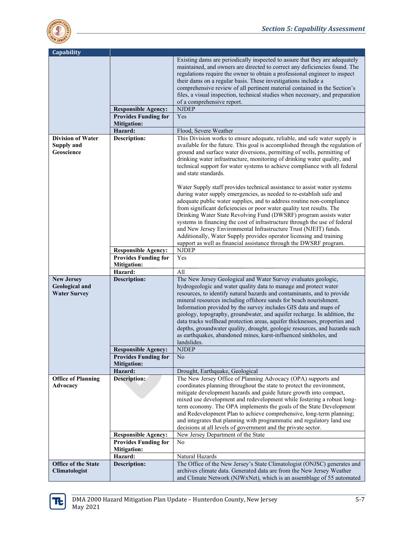

| Capability                                                        |                                                   |                                                                                                                                                                                                                                                                                                                                                                                                                                                                                                                                                                                                                                                                                   |
|-------------------------------------------------------------------|---------------------------------------------------|-----------------------------------------------------------------------------------------------------------------------------------------------------------------------------------------------------------------------------------------------------------------------------------------------------------------------------------------------------------------------------------------------------------------------------------------------------------------------------------------------------------------------------------------------------------------------------------------------------------------------------------------------------------------------------------|
|                                                                   |                                                   | Existing dams are periodically inspected to assure that they are adequately<br>maintained, and owners are directed to correct any deficiencies found. The<br>regulations require the owner to obtain a professional engineer to inspect<br>their dams on a regular basis. These investigations include a<br>comprehensive review of all pertinent material contained in the Section's<br>files, a visual inspection, technical studies when necessary, and preparation<br>of a comprehensive report.                                                                                                                                                                              |
|                                                                   | <b>Responsible Agency:</b>                        | <b>NJDEP</b>                                                                                                                                                                                                                                                                                                                                                                                                                                                                                                                                                                                                                                                                      |
|                                                                   | <b>Provides Funding for</b>                       | Yes                                                                                                                                                                                                                                                                                                                                                                                                                                                                                                                                                                                                                                                                               |
|                                                                   | <b>Mitigation:</b>                                |                                                                                                                                                                                                                                                                                                                                                                                                                                                                                                                                                                                                                                                                                   |
|                                                                   | Hazard:                                           | Flood, Severe Weather                                                                                                                                                                                                                                                                                                                                                                                                                                                                                                                                                                                                                                                             |
| <b>Division of Water</b><br>Supply and<br>Geoscience              | Description:                                      | This Division works to ensure adequate, reliable, and safe water supply is<br>available for the future. This goal is accomplished through the regulation of<br>ground and surface water diversions, permitting of wells, permitting of<br>drinking water infrastructure, monitoring of drinking water quality, and<br>technical support for water systems to achieve compliance with all federal<br>and state standards.                                                                                                                                                                                                                                                          |
|                                                                   |                                                   | Water Supply staff provides technical assistance to assist water systems<br>during water supply emergencies, as needed to re-establish safe and<br>adequate public water supplies, and to address routine non-compliance<br>from significant deficiencies or poor water quality test results. The<br>Drinking Water State Revolving Fund (DWSRF) program assists water<br>systems in financing the cost of infrastructure through the use of federal<br>and New Jersey Environmental Infrastructure Trust (NJEIT) funds.<br>Additionally, Water Supply provides operator licensing and training<br>support as well as financial assistance through the DWSRF program.             |
|                                                                   | <b>Responsible Agency:</b>                        | <b>NJDEP</b>                                                                                                                                                                                                                                                                                                                                                                                                                                                                                                                                                                                                                                                                      |
|                                                                   | <b>Provides Funding for</b>                       | Yes                                                                                                                                                                                                                                                                                                                                                                                                                                                                                                                                                                                                                                                                               |
|                                                                   | <b>Mitigation:</b>                                |                                                                                                                                                                                                                                                                                                                                                                                                                                                                                                                                                                                                                                                                                   |
|                                                                   | Hazard:                                           | All                                                                                                                                                                                                                                                                                                                                                                                                                                                                                                                                                                                                                                                                               |
| <b>New Jersey</b><br><b>Geological and</b><br><b>Water Survey</b> | <b>Description:</b>                               | The New Jersey Geological and Water Survey evaluates geologic,<br>hydrogeologic and water quality data to manage and protect water<br>resources, to identify natural hazards and contaminants, and to provide<br>mineral resources including offshore sands for beach nourishment.<br>Information provided by the survey includes GIS data and maps of<br>geology, topography, groundwater, and aquifer recharge. In addition, the<br>data tracks wellhead protection areas, aquifer thicknesses, properties and<br>depths, groundwater quality, drought, geologic resources, and hazards such<br>as earthquakes, abandoned mines, karst-influenced sinkholes, and<br>landslides. |
|                                                                   | <b>Responsible Agency:</b>                        | <b>NJDEP</b>                                                                                                                                                                                                                                                                                                                                                                                                                                                                                                                                                                                                                                                                      |
|                                                                   | <b>Provides Funding for</b><br><b>Mitigation:</b> | N <sub>o</sub>                                                                                                                                                                                                                                                                                                                                                                                                                                                                                                                                                                                                                                                                    |
|                                                                   | Hazard:                                           | Drought, Earthquake, Geological                                                                                                                                                                                                                                                                                                                                                                                                                                                                                                                                                                                                                                                   |
| <b>Office of Planning</b><br>Advocacy                             | Description:                                      | The New Jersey Office of Planning Advocacy (OPA) supports and<br>coordinates planning throughout the state to protect the environment,<br>mitigate development hazards and guide future growth into compact,<br>mixed use development and redevelopment while fostering a robust long-<br>term economy. The OPA implements the goals of the State Development<br>and Redevelopment Plan to achieve comprehensive, long-term planning;<br>and integrates that planning with programmatic and regulatory land use<br>decisions at all levels of government and the private sector.                                                                                                  |
|                                                                   | <b>Responsible Agency:</b>                        | New Jersey Department of the State                                                                                                                                                                                                                                                                                                                                                                                                                                                                                                                                                                                                                                                |
|                                                                   | <b>Provides Funding for</b>                       | No                                                                                                                                                                                                                                                                                                                                                                                                                                                                                                                                                                                                                                                                                |
|                                                                   | <b>Mitigation:</b>                                |                                                                                                                                                                                                                                                                                                                                                                                                                                                                                                                                                                                                                                                                                   |
|                                                                   | Hazard:                                           | Natural Hazards                                                                                                                                                                                                                                                                                                                                                                                                                                                                                                                                                                                                                                                                   |
| Office of the State<br>Climatologist                              | <b>Description:</b>                               | The Office of the New Jersey's State Climatologist (ONJSC) generates and<br>archives climate data. Generated data are from the New Jersey Weather<br>and Climate Network (NJWxNet), which is an assemblage of 55 automated                                                                                                                                                                                                                                                                                                                                                                                                                                                        |

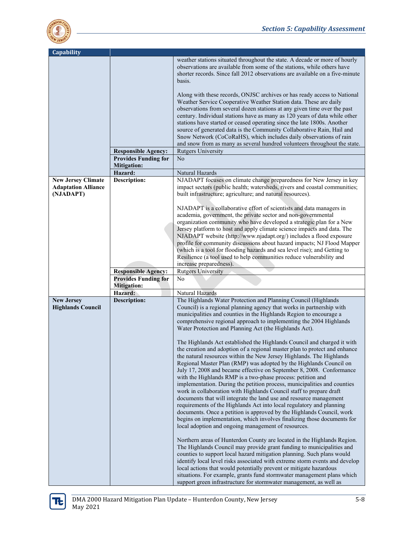

| Capability                              |                               |                                                                                                                                                                                                                                                                                                       |
|-----------------------------------------|-------------------------------|-------------------------------------------------------------------------------------------------------------------------------------------------------------------------------------------------------------------------------------------------------------------------------------------------------|
|                                         |                               | weather stations situated throughout the state. A decade or more of hourly<br>observations are available from some of the stations, while others have<br>shorter records. Since fall 2012 observations are available on a five-minute<br>basis.                                                       |
|                                         |                               | Along with these records, ONJSC archives or has ready access to National<br>Weather Service Cooperative Weather Station data. These are daily<br>observations from several dozen stations at any given time over the past                                                                             |
|                                         |                               | century. Individual stations have as many as 120 years of data while other<br>stations have started or ceased operating since the late 1800s. Another<br>source of generated data is the Community Collaborative Rain, Hail and<br>Snow Network (CoCoRaHS), which includes daily observations of rain |
|                                         |                               | and snow from as many as several hundred volunteers throughout the state.                                                                                                                                                                                                                             |
|                                         | <b>Responsible Agency:</b>    | <b>Rutgers University</b>                                                                                                                                                                                                                                                                             |
|                                         | <b>Provides Funding for</b>   | No                                                                                                                                                                                                                                                                                                    |
|                                         | <b>Mitigation:</b><br>Hazard: | Natural Hazards                                                                                                                                                                                                                                                                                       |
| <b>New Jersey Climate</b>               | <b>Description:</b>           | NJADAPT focuses on climate change preparedness for New Jersey in key                                                                                                                                                                                                                                  |
| <b>Adaptation Alliance</b><br>(NJADAPT) |                               | impact sectors (public health; watersheds, rivers and coastal communities;<br>built infrastructure; agriculture; and natural resources).                                                                                                                                                              |
|                                         |                               | NJADAPT is a collaborative effort of scientists and data managers in<br>academia, government, the private sector and non-governmental                                                                                                                                                                 |
|                                         |                               | organization community who have developed a strategic plan for a New<br>Jersey platform to host and apply climate science impacts and data. The                                                                                                                                                       |
|                                         |                               | NJADAPT website (http://www.njadapt.org/) includes a flood exposure                                                                                                                                                                                                                                   |
|                                         |                               | profile for community discussions about hazard impacts; NJ Flood Mapper                                                                                                                                                                                                                               |
|                                         |                               | (which is a tool for flooding hazards and sea level rise); and Getting to                                                                                                                                                                                                                             |
|                                         |                               | Resilience (a tool used to help communities reduce vulnerability and                                                                                                                                                                                                                                  |
|                                         | <b>Responsible Agency:</b>    | increase preparedness).<br><b>Rutgers University</b>                                                                                                                                                                                                                                                  |
|                                         |                               |                                                                                                                                                                                                                                                                                                       |
|                                         |                               |                                                                                                                                                                                                                                                                                                       |
|                                         | <b>Provides Funding for</b>   | N <sub>o</sub>                                                                                                                                                                                                                                                                                        |
|                                         | <b>Mitigation:</b><br>Hazard: | Natural Hazards                                                                                                                                                                                                                                                                                       |
| <b>New Jersey</b>                       | <b>Description:</b>           | The Highlands Water Protection and Planning Council (Highlands                                                                                                                                                                                                                                        |
| <b>Highlands Council</b>                |                               | Council) is a regional planning agency that works in partnership with                                                                                                                                                                                                                                 |
|                                         |                               | municipalities and counties in the Highlands Region to encourage a                                                                                                                                                                                                                                    |
|                                         |                               | comprehensive regional approach to implementing the 2004 Highlands<br>Water Protection and Planning Act (the Highlands Act).                                                                                                                                                                          |
|                                         |                               | The Highlands Act established the Highlands Council and charged it with                                                                                                                                                                                                                               |
|                                         |                               | the creation and adoption of a regional master plan to protect and enhance                                                                                                                                                                                                                            |
|                                         |                               | the natural resources within the New Jersey Highlands. The Highlands                                                                                                                                                                                                                                  |
|                                         |                               | Regional Master Plan (RMP) was adopted by the Highlands Council on<br>July 17, 2008 and became effective on September 8, 2008. Conformance                                                                                                                                                            |
|                                         |                               | with the Highlands RMP is a two-phase process: petition and<br>implementation. During the petition process, municipalities and counties                                                                                                                                                               |
|                                         |                               | work in collaboration with Highlands Council staff to prepare draft                                                                                                                                                                                                                                   |
|                                         |                               | documents that will integrate the land use and resource management                                                                                                                                                                                                                                    |
|                                         |                               | requirements of the Highlands Act into local regulatory and planning                                                                                                                                                                                                                                  |
|                                         |                               | documents. Once a petition is approved by the Highlands Council, work<br>begins on implementation, which involves finalizing those documents for                                                                                                                                                      |
|                                         |                               | local adoption and ongoing management of resources.                                                                                                                                                                                                                                                   |
|                                         |                               | Northern areas of Hunterdon County are located in the Highlands Region.                                                                                                                                                                                                                               |
|                                         |                               | The Highlands Council may provide grant funding to municipalities and                                                                                                                                                                                                                                 |
|                                         |                               | counties to support local hazard mitigation planning. Such plans would                                                                                                                                                                                                                                |
|                                         |                               | identify local level risks associated with extreme storm events and develop<br>local actions that would potentially prevent or mitigate hazardous                                                                                                                                                     |
|                                         |                               | situations. For example, grants fund stormwater management plans which<br>support green infrastructure for stormwater management, as well as                                                                                                                                                          |

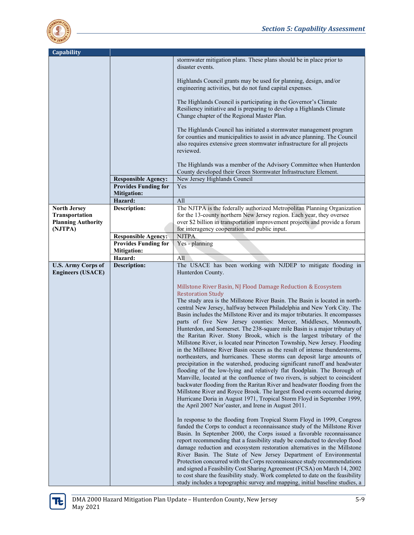

| <b>Capability</b>         |                             |                                                                                                                                                                                                                                            |
|---------------------------|-----------------------------|--------------------------------------------------------------------------------------------------------------------------------------------------------------------------------------------------------------------------------------------|
|                           |                             | stormwater mitigation plans. These plans should be in place prior to<br>disaster events.                                                                                                                                                   |
|                           |                             | Highlands Council grants may be used for planning, design, and/or<br>engineering activities, but do not fund capital expenses.                                                                                                             |
|                           |                             | The Highlands Council is participating in the Governor's Climate<br>Resiliency initiative and is preparing to develop a Highlands Climate<br>Change chapter of the Regional Master Plan.                                                   |
|                           |                             | The Highlands Council has initiated a stormwater management program<br>for counties and municipalities to assist in advance planning. The Council<br>also requires extensive green stormwater infrastructure for all projects<br>reviewed. |
|                           |                             | The Highlands was a member of the Advisory Committee when Hunterdon<br>County developed their Green Stormwater Infrastructure Element.                                                                                                     |
|                           | <b>Responsible Agency:</b>  | New Jersey Highlands Council                                                                                                                                                                                                               |
|                           | <b>Provides Funding for</b> | Yes                                                                                                                                                                                                                                        |
|                           | <b>Mitigation:</b>          |                                                                                                                                                                                                                                            |
|                           | Hazard:                     | All                                                                                                                                                                                                                                        |
| <b>North Jersey</b>       | <b>Description:</b>         | The NJTPA is the federally authorized Metropolitan Planning Organization                                                                                                                                                                   |
| Transportation            |                             | for the 13-county northern New Jersey region. Each year, they oversee                                                                                                                                                                      |
| <b>Planning Authority</b> |                             | over \$2 billion in transportation improvement projects and provide a forum                                                                                                                                                                |
| (NJTPA)                   |                             | for interagency cooperation and public input.                                                                                                                                                                                              |
|                           | <b>Responsible Agency:</b>  | <b>NJTPA</b>                                                                                                                                                                                                                               |
|                           | <b>Provides Funding for</b> | Yes - planning                                                                                                                                                                                                                             |
|                           | <b>Mitigation:</b>          |                                                                                                                                                                                                                                            |
|                           | Hazard:                     | All                                                                                                                                                                                                                                        |
| <b>U.S. Army Corps of</b> | <b>Description:</b>         | The USACE has been working with NJDEP to mitigate flooding in                                                                                                                                                                              |
| <b>Engineers (USACE)</b>  |                             | Hunterdon County.                                                                                                                                                                                                                          |
|                           |                             |                                                                                                                                                                                                                                            |
|                           |                             | Millstone River Basin, NJ Flood Damage Reduction & Ecosystem                                                                                                                                                                               |
|                           |                             | <b>Restoration Study</b>                                                                                                                                                                                                                   |
|                           |                             | The study area is the Millstone River Basin. The Basin is located in north-<br>central New Jersey, halfway between Philadelphia and New York City. The                                                                                     |
|                           |                             | Basin includes the Millstone River and its major tributaries. It encompasses                                                                                                                                                               |
|                           |                             | parts of five New Jersey counties: Mercer, Middlesex, Monmouth,                                                                                                                                                                            |
|                           |                             | Hunterdon, and Somerset. The 238-square mile Basin is a major tributary of                                                                                                                                                                 |
|                           |                             | the Raritan River. Stony Brook, which is the largest tributary of the                                                                                                                                                                      |
|                           |                             | Millstone River, is located near Princeton Township, New Jersey. Flooding                                                                                                                                                                  |
|                           |                             | in the Millstone River Basin occurs as the result of intense thunderstorms,                                                                                                                                                                |
|                           |                             | northeasters, and hurricanes. These storms can deposit large amounts of                                                                                                                                                                    |
|                           |                             | precipitation in the watershed, producing significant runoff and headwater                                                                                                                                                                 |
|                           |                             | flooding of the low-lying and relatively flat floodplain. The Borough of                                                                                                                                                                   |
|                           |                             | Manville, located at the confluence of two rivers, is subject to coincident                                                                                                                                                                |
|                           |                             | backwater flooding from the Raritan River and headwater flooding from the                                                                                                                                                                  |
|                           |                             | Millstone River and Royce Brook. The largest flood events occurred during                                                                                                                                                                  |
|                           |                             | Hurricane Doria in August 1971, Tropical Storm Floyd in September 1999,                                                                                                                                                                    |
|                           |                             | the April 2007 Nor'easter, and Irene in August 2011.                                                                                                                                                                                       |
|                           |                             |                                                                                                                                                                                                                                            |
|                           |                             | In response to the flooding from Tropical Storm Floyd in 1999, Congress<br>funded the Corps to conduct a reconnaissance study of the Millstone River                                                                                       |
|                           |                             | Basin. In September 2000, the Corps issued a favorable reconnaissance                                                                                                                                                                      |
|                           |                             | report recommending that a feasibility study be conducted to develop flood                                                                                                                                                                 |
|                           |                             | damage reduction and ecosystem restoration alternatives in the Millstone                                                                                                                                                                   |
|                           |                             | River Basin. The State of New Jersey Department of Environmental                                                                                                                                                                           |
|                           |                             | Protection concurred with the Corps reconnaissance study recommendations                                                                                                                                                                   |
|                           |                             | and signed a Feasibility Cost Sharing Agreement (FCSA) on March 14, 2002                                                                                                                                                                   |
|                           |                             | to cost share the feasibility study. Work completed to date on the feasibility                                                                                                                                                             |
|                           |                             | study includes a topographic survey and mapping, initial baseline studies, a                                                                                                                                                               |

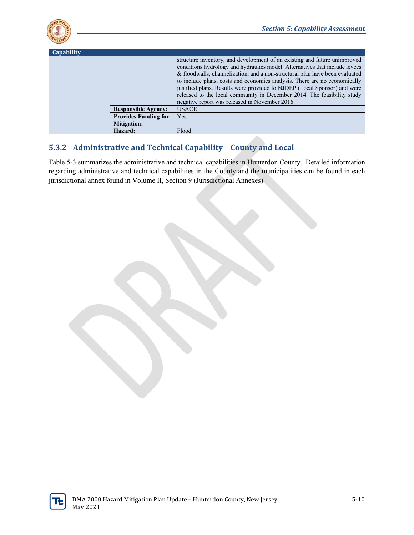

| Capability |                             |                                                                                                                                                                                                                                                                                                                                                                                                                                                                                                                               |
|------------|-----------------------------|-------------------------------------------------------------------------------------------------------------------------------------------------------------------------------------------------------------------------------------------------------------------------------------------------------------------------------------------------------------------------------------------------------------------------------------------------------------------------------------------------------------------------------|
|            |                             | structure inventory, and development of an existing and future unimproved<br>conditions hydrology and hydraulics model. Alternatives that include levees<br>& floodwalls, channelization, and a non-structural plan have been evaluated<br>to include plans, costs and economics analysis. There are no economically<br>justified plans. Results were provided to NJDEP (Local Sponsor) and were<br>released to the local community in December 2014. The feasibility study<br>negative report was released in November 2016. |
|            | <b>Responsible Agency:</b>  | <b>USACE</b>                                                                                                                                                                                                                                                                                                                                                                                                                                                                                                                  |
|            | <b>Provides Funding for</b> | Yes.                                                                                                                                                                                                                                                                                                                                                                                                                                                                                                                          |
|            | <b>Mitigation:</b>          |                                                                                                                                                                                                                                                                                                                                                                                                                                                                                                                               |
|            | Hazard:                     | Flood                                                                                                                                                                                                                                                                                                                                                                                                                                                                                                                         |

#### **5.3.2 Administrative and Technical Capability – County and Local**

Table 5-3 summarizes the administrative and technical capabilities in Hunterdon County. Detailed information regarding administrative and technical capabilities in the County and the municipalities can be found in each jurisdictional annex found in Volume II, Section 9 (Jurisdictional Annexes).

ΤŧΙ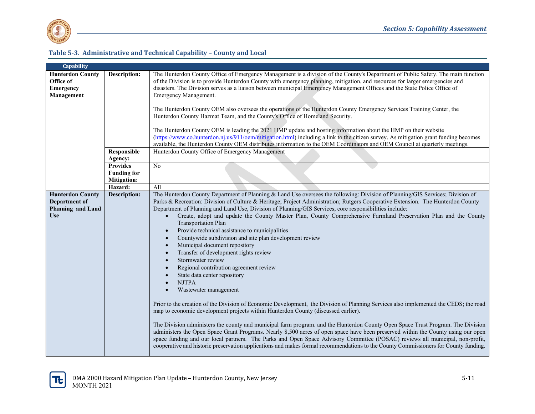

#### **Table 5-3. Administrative and Technical Capability – County and Local**

| Capability              |                     |                                                                                                                                               |
|-------------------------|---------------------|-----------------------------------------------------------------------------------------------------------------------------------------------|
| <b>Hunterdon County</b> | Description:        | The Hunterdon County Office of Emergency Management is a division of the County's Department of Public Safety. The main function              |
| Office of               |                     | of the Division is to provide Hunterdon County with emergency planning, mitigation, and resources for larger emergencies and                  |
| <b>Emergency</b>        |                     | disasters. The Division serves as a liaison between municipal Emergency Management Offices and the State Police Office of                     |
| Management              |                     | Emergency Management.                                                                                                                         |
|                         |                     |                                                                                                                                               |
|                         |                     | The Hunterdon County OEM also oversees the operations of the Hunterdon County Emergency Services Training Center, the                         |
|                         |                     | Hunterdon County Hazmat Team, and the County's Office of Homeland Security.                                                                   |
|                         |                     |                                                                                                                                               |
|                         |                     | The Hunterdon County OEM is leading the 2021 HMP update and hosting information about the HMP on their website                                |
|                         |                     | (https://www.co.hunterdon.nj.us/911/oem/mitigation.html) including a link to the citizen survey. As mitigation grant funding becomes          |
|                         |                     | available, the Hunterdon County OEM distributes information to the OEM Coordinators and OEM Council at quarterly meetings.                    |
|                         | Responsible         | Hunterdon County Office of Emergency Management                                                                                               |
|                         | Agency:             |                                                                                                                                               |
|                         | <b>Provides</b>     | N <sub>o</sub>                                                                                                                                |
|                         | <b>Funding for</b>  |                                                                                                                                               |
|                         | <b>Mitigation:</b>  |                                                                                                                                               |
|                         | Hazard:             | All                                                                                                                                           |
|                         |                     | The Hunterdon County Department of Planning & Land Use oversees the following: Division of Planning/GIS Services; Division of                 |
| <b>Hunterdon County</b> | <b>Description:</b> |                                                                                                                                               |
| Department of           |                     | Parks & Recreation: Division of Culture & Heritage; Project Administration; Rutgers Cooperative Extension. The Hunterdon County               |
| Planning and Land       |                     | Department of Planning and Land Use, Division of Planning/GIS Services, core responsibilities include:                                        |
| <b>Use</b>              |                     | Create, adopt and update the County Master Plan, County Comprehensive Farmland Preservation Plan and the County<br><b>Transportation Plan</b> |
|                         |                     | Provide technical assistance to municipalities<br>$\bullet$                                                                                   |
|                         |                     | Countywide subdivision and site plan development review<br>$\bullet$                                                                          |
|                         |                     | Municipal document repository<br>$\bullet$                                                                                                    |
|                         |                     | Transfer of development rights review<br>$\bullet$                                                                                            |
|                         |                     | Stormwater review<br>$\bullet$                                                                                                                |
|                         |                     | Regional contribution agreement review<br>$\bullet$                                                                                           |
|                         |                     | State data center repository<br>$\bullet$                                                                                                     |
|                         |                     | <b>NJTPA</b>                                                                                                                                  |
|                         |                     |                                                                                                                                               |
|                         |                     | Wastewater management                                                                                                                         |
|                         |                     | Prior to the creation of the Division of Economic Development, the Division of Planning Services also implemented the CEDS; the road          |
|                         |                     | map to economic development projects within Hunterdon County (discussed earlier).                                                             |
|                         |                     |                                                                                                                                               |
|                         |                     | The Division administers the county and municipal farm program. and the Hunterdon County Open Space Trust Program. The Division               |
|                         |                     | administers the Open Space Grant Programs. Nearly 8,500 acres of open space have been preserved within the County using our open              |
|                         |                     | space funding and our local partners. The Parks and Open Space Advisory Committee (POSAC) reviews all municipal, non-profit,                  |
|                         |                     | cooperative and historic preservation applications and makes formal recommendations to the County Commissioners for County funding.           |
|                         |                     |                                                                                                                                               |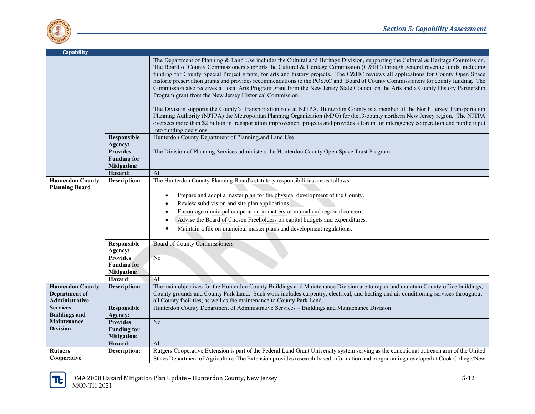



| Capability                                                 |                                                             |                                                                                                                                                                                                                                                                                                                                                                                                                                                                                                                                                                                                                                                                                                                                                                                                                                                                                                                                                                                                                                                                                                                                                                                            |
|------------------------------------------------------------|-------------------------------------------------------------|--------------------------------------------------------------------------------------------------------------------------------------------------------------------------------------------------------------------------------------------------------------------------------------------------------------------------------------------------------------------------------------------------------------------------------------------------------------------------------------------------------------------------------------------------------------------------------------------------------------------------------------------------------------------------------------------------------------------------------------------------------------------------------------------------------------------------------------------------------------------------------------------------------------------------------------------------------------------------------------------------------------------------------------------------------------------------------------------------------------------------------------------------------------------------------------------|
|                                                            |                                                             | The Department of Planning & Land Use includes the Cultural and Heritage Division, supporting the Cultural & Heritage Commission.<br>The Board of County Commissioners supports the Cultural & Heritage Commission (C&HC) through general revenue funds, including<br>funding for County Special Project grants, for arts and history projects. The C&HC reviews all applications for County Open Space<br>historic preservation grants and provides recommendations to the POSAC and Board of County Commissioners for county funding. The<br>Commission also receives a Local Arts Program grant from the New Jersey State Council on the Arts and a County History Partnership<br>Program grant from the New Jersey Historical Commission.<br>The Division supports the County's Transportation role at NJTPA. Hunterdon County is a member of the North Jersey Transportation<br>Planning Authority (NJTPA) the Metropolitan Planning Organization (MPO) for the 13-county northern New Jersey region. The NJTPA<br>oversees more than \$2 billion in transportation improvement projects and provides a forum for interagency cooperation and public input<br>into funding decisions. |
|                                                            | Responsible<br>Agency:                                      | Hunterdon County Department of Planning, and Land Use                                                                                                                                                                                                                                                                                                                                                                                                                                                                                                                                                                                                                                                                                                                                                                                                                                                                                                                                                                                                                                                                                                                                      |
|                                                            | <b>Provides</b><br><b>Funding for</b><br><b>Mitigation:</b> | The Division of Planning Services administers the Hunterdon County Open Space Trust Program                                                                                                                                                                                                                                                                                                                                                                                                                                                                                                                                                                                                                                                                                                                                                                                                                                                                                                                                                                                                                                                                                                |
|                                                            | Hazard:                                                     | All                                                                                                                                                                                                                                                                                                                                                                                                                                                                                                                                                                                                                                                                                                                                                                                                                                                                                                                                                                                                                                                                                                                                                                                        |
| <b>Hunterdon County</b><br><b>Planning Board</b>           | Description:                                                | The Hunterdon County Planning Board's statutory responsibilities are as follows:<br>Prepare and adopt a master plan for the physical development of the County.<br>Review subdivision and site plan applications.<br>Encourage municipal cooperation in matters of mutual and regional concern.<br>Advise the Board of Chosen Freeholders on capital budgets and expenditures.<br>Maintain a file on municipal master plans and development regulations.                                                                                                                                                                                                                                                                                                                                                                                                                                                                                                                                                                                                                                                                                                                                   |
|                                                            | Responsible<br>Agency:                                      | Board of County Commissioners                                                                                                                                                                                                                                                                                                                                                                                                                                                                                                                                                                                                                                                                                                                                                                                                                                                                                                                                                                                                                                                                                                                                                              |
|                                                            | <b>Provides</b><br><b>Funding for</b><br><b>Mitigation:</b> | N <sub>0</sub>                                                                                                                                                                                                                                                                                                                                                                                                                                                                                                                                                                                                                                                                                                                                                                                                                                                                                                                                                                                                                                                                                                                                                                             |
|                                                            | Hazard:                                                     | All                                                                                                                                                                                                                                                                                                                                                                                                                                                                                                                                                                                                                                                                                                                                                                                                                                                                                                                                                                                                                                                                                                                                                                                        |
| <b>Hunterdon County</b><br>Department of<br>Administrative | Description:                                                | The main objectives for the Hunterdon County Buildings and Maintenance Division are to repair and maintain County office buildings,<br>County grounds and County Park Land. Such work includes carpentry, electrical, and heating and air conditioning services throughout<br>all County facilities; as well as the maintenance to County Park Land.                                                                                                                                                                                                                                                                                                                                                                                                                                                                                                                                                                                                                                                                                                                                                                                                                                       |
| Services-<br><b>Buildings and</b>                          | Responsible<br>Agency:                                      | Hunterdon County Department of Administrative Services - Buildings and Maintenance Division                                                                                                                                                                                                                                                                                                                                                                                                                                                                                                                                                                                                                                                                                                                                                                                                                                                                                                                                                                                                                                                                                                |
| Maintenance<br><b>Division</b>                             | <b>Provides</b><br><b>Funding for</b><br><b>Mitigation:</b> | No                                                                                                                                                                                                                                                                                                                                                                                                                                                                                                                                                                                                                                                                                                                                                                                                                                                                                                                                                                                                                                                                                                                                                                                         |
|                                                            | Hazard:                                                     | All                                                                                                                                                                                                                                                                                                                                                                                                                                                                                                                                                                                                                                                                                                                                                                                                                                                                                                                                                                                                                                                                                                                                                                                        |
| <b>Rutgers</b>                                             | Description:                                                | Rutgers Cooperative Extension is part of the Federal Land Grant University system serving as the educational outreach arm of the United                                                                                                                                                                                                                                                                                                                                                                                                                                                                                                                                                                                                                                                                                                                                                                                                                                                                                                                                                                                                                                                    |
| Cooperative                                                |                                                             | States Department of Agriculture. The Extension provides research-based information and programming developed at Cook College/New                                                                                                                                                                                                                                                                                                                                                                                                                                                                                                                                                                                                                                                                                                                                                                                                                                                                                                                                                                                                                                                          |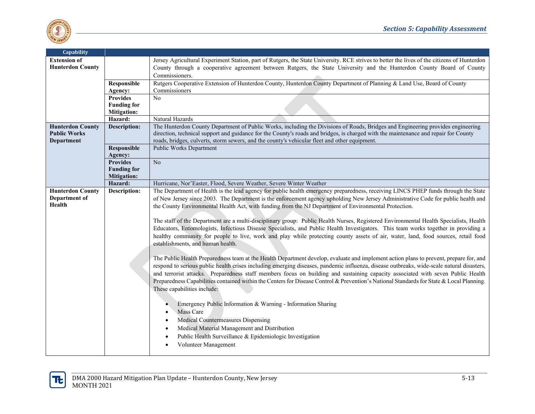

| Capability              |                     |                                                                                                                                             |
|-------------------------|---------------------|---------------------------------------------------------------------------------------------------------------------------------------------|
| <b>Extension of</b>     |                     | Jersey Agricultural Experiment Station, part of Rutgers, the State University. RCE strives to better the lives of the citizens of Hunterdon |
| <b>Hunterdon County</b> |                     | County through a cooperative agreement between Rutgers, the State University and the Hunterdon County Board of County                       |
|                         |                     | Commissioners.                                                                                                                              |
|                         | Responsible         | Rutgers Cooperative Extension of Hunterdon County, Hunterdon County Department of Planning & Land Use, Board of County                      |
|                         | Agency:             | Commissioners                                                                                                                               |
|                         | <b>Provides</b>     | N <sub>0</sub>                                                                                                                              |
|                         | <b>Funding for</b>  |                                                                                                                                             |
|                         | <b>Mitigation:</b>  |                                                                                                                                             |
|                         | Hazard:             | Natural Hazards                                                                                                                             |
| <b>Hunterdon County</b> | <b>Description:</b> | The Hunterdon County Department of Public Works, including the Divisions of Roads, Bridges and Engineering provides engineering             |
| <b>Public Works</b>     |                     | direction, technical support and guidance for the County's roads and bridges, is charged with the maintenance and repair for County         |
| Department              |                     | roads, bridges, culverts, storm sewers, and the county's vehicular fleet and other equipment.                                               |
|                         | <b>Responsible</b>  | <b>Public Works Department</b>                                                                                                              |
|                         | Agency:             |                                                                                                                                             |
|                         | <b>Provides</b>     | No                                                                                                                                          |
|                         | <b>Funding for</b>  |                                                                                                                                             |
|                         | <b>Mitigation:</b>  |                                                                                                                                             |
|                         | Hazard:             | Hurricane, Nor'Easter, Flood, Severe Weather, Severe Winter Weather                                                                         |
| <b>Hunterdon County</b> | <b>Description:</b> | The Department of Health is the lead agency for public health emergency preparedness, receiving LINCS PHEP funds through the State          |
| Department of           |                     | of New Jersey since 2003. The Department is the enforcement agency upholding New Jersey Administrative Code for public health and           |
| Health                  |                     | the County Environmental Health Act, with funding from the NJ Department of Environmental Protection.                                       |
|                         |                     |                                                                                                                                             |
|                         |                     | The staff of the Department are a multi-disciplinary group: Public Health Nurses, Registered Environmental Health Specialists, Health       |
|                         |                     | Educators, Entomologists, Infectious Disease Specialists, and Public Health Investigators. This team works together in providing a          |
|                         |                     | healthy community for people to live, work and play while protecting county assets of air, water, land, food sources, retail food           |
|                         |                     | establishments, and human health.                                                                                                           |
|                         |                     |                                                                                                                                             |
|                         |                     | The Public Health Preparedness team at the Health Department develop, evaluate and implement action plans to prevent, prepare for, and      |
|                         |                     | respond to serious public health crises including emerging diseases, pandemic influenza, disease outbreaks, wide-scale natural disasters,   |
|                         |                     | and terrorist attacks. Preparedness staff members focus on building and sustaining capacity associated with seven Public Health             |
|                         |                     | Preparedness Capabilities contained within the Centers for Disease Control & Prevention's National Standards for State & Local Planning.    |
|                         |                     | These capabilities include:                                                                                                                 |
|                         |                     |                                                                                                                                             |
|                         |                     |                                                                                                                                             |
|                         |                     | Emergency Public Information & Warning - Information Sharing                                                                                |
|                         |                     | Mass Care                                                                                                                                   |
|                         |                     | Medical Countermeasures Dispensing                                                                                                          |
|                         |                     | Medical Material Management and Distribution                                                                                                |
|                         |                     | Public Health Surveillance & Epidemiologic Investigation                                                                                    |
|                         |                     | Volunteer Management                                                                                                                        |
|                         |                     |                                                                                                                                             |

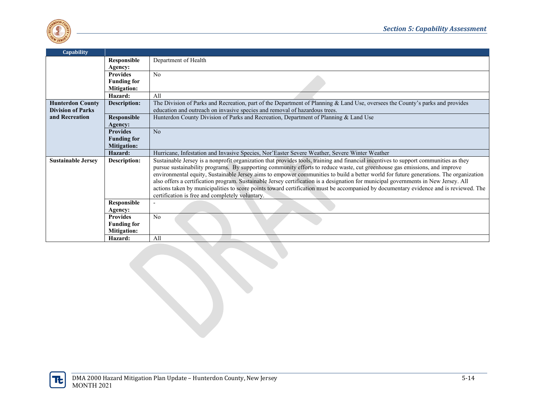

| <b>Capability</b>         |                               |                                                                                                                                       |
|---------------------------|-------------------------------|---------------------------------------------------------------------------------------------------------------------------------------|
|                           | Responsible                   | Department of Health                                                                                                                  |
|                           | Agency:                       |                                                                                                                                       |
|                           | <b>Provides</b>               | No                                                                                                                                    |
|                           | <b>Funding for</b>            |                                                                                                                                       |
|                           | <b>Mitigation:</b>            |                                                                                                                                       |
|                           | Hazard:                       | All                                                                                                                                   |
| <b>Hunterdon County</b>   | <b>Description:</b>           | The Division of Parks and Recreation, part of the Department of Planning & Land Use, oversees the County's parks and provides         |
| <b>Division of Parks</b>  |                               | education and outreach on invasive species and removal of hazardous trees.                                                            |
| and Recreation            | Responsible                   | Hunterdon County Division of Parks and Recreation, Department of Planning & Land Use                                                  |
|                           | Agency:                       |                                                                                                                                       |
|                           | <b>Provides</b>               | No                                                                                                                                    |
|                           | <b>Funding for</b>            |                                                                                                                                       |
|                           | <b>Mitigation:</b>            |                                                                                                                                       |
|                           | Hazard:                       | Hurricane, Infestation and Invasive Species, Nor'Easter Severe Weather, Severe Winter Weather                                         |
| <b>Sustainable Jersey</b> | Description:                  | Sustainable Jersey is a nonprofit organization that provides tools, training and financial incentives to support communities as they  |
|                           |                               | pursue sustainability programs. By supporting community efforts to reduce waste, cut greenhouse gas emissions, and improve            |
|                           |                               | environmental equity, Sustainable Jersey aims to empower communities to build a better world for future generations. The organization |
|                           |                               | also offers a certification program. Sustainable Jersey certification is a designation for municipal governments in New Jersey. All   |
|                           |                               | actions taken by municipalities to score points toward certification must be accompanied by documentary evidence and is reviewed. The |
|                           |                               | certification is free and completely voluntary.                                                                                       |
|                           | Responsible                   |                                                                                                                                       |
|                           | Agency:                       |                                                                                                                                       |
|                           | <b>Provides</b>               | N <sub>o</sub>                                                                                                                        |
|                           | <b>Funding for</b>            |                                                                                                                                       |
|                           | <b>Mitigation:</b><br>Hazard: | All                                                                                                                                   |
|                           |                               |                                                                                                                                       |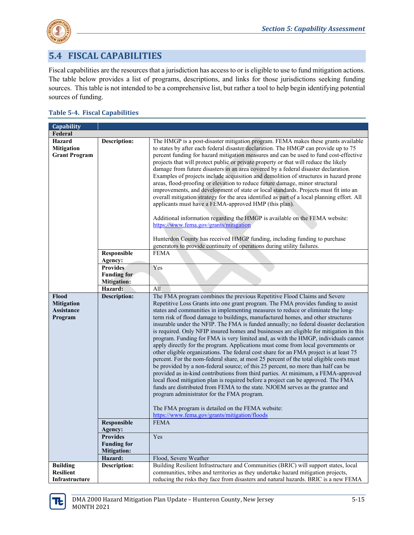

## **5.4 FISCAL CAPABILITIES**

Fiscal capabilities are the resources that a jurisdiction has access to or is eligible to use to fund mitigation actions. The table below provides a list of programs, descriptions, and links for those jurisdictions seeking funding sources. This table is not intended to be a comprehensive list, but rather a tool to help begin identifying potential sources of funding.

#### **Table 5-4. Fiscal Capabilities**

| Capability                                            |                                                             |                                                                                                                                                                                                                                                                                                                                                                                                                                                                                                                                                                                                                                                                                                                                                                                                                                                                                                                                                                                                                                                                                                                                                                                                                                                                                                                                                                                             |
|-------------------------------------------------------|-------------------------------------------------------------|---------------------------------------------------------------------------------------------------------------------------------------------------------------------------------------------------------------------------------------------------------------------------------------------------------------------------------------------------------------------------------------------------------------------------------------------------------------------------------------------------------------------------------------------------------------------------------------------------------------------------------------------------------------------------------------------------------------------------------------------------------------------------------------------------------------------------------------------------------------------------------------------------------------------------------------------------------------------------------------------------------------------------------------------------------------------------------------------------------------------------------------------------------------------------------------------------------------------------------------------------------------------------------------------------------------------------------------------------------------------------------------------|
| Federal                                               |                                                             |                                                                                                                                                                                                                                                                                                                                                                                                                                                                                                                                                                                                                                                                                                                                                                                                                                                                                                                                                                                                                                                                                                                                                                                                                                                                                                                                                                                             |
| Hazard<br><b>Mitigation</b><br><b>Grant Program</b>   | Description:                                                | The HMGP is a post-disaster mitigation program. FEMA makes these grants available<br>to states by after each federal disaster declaration. The HMGP can provide up to 75<br>percent funding for hazard mitigation measures and can be used to fund cost-effective<br>projects that will protect public or private property or that will reduce the likely<br>damage from future disasters in an area covered by a federal disaster declaration.<br>Examples of projects include acquisition and demolition of structures in hazard prone<br>areas, flood-proofing or elevation to reduce future damage, minor structural<br>improvements, and development of state or local standards. Projects must fit into an<br>overall mitigation strategy for the area identified as part of a local planning effort. All<br>applicants must have a FEMA-approved HMP (this plan).<br>Additional information regarding the HMGP is available on the FEMA website:<br>https://www.fema.gov/grants/mitigation                                                                                                                                                                                                                                                                                                                                                                                           |
|                                                       |                                                             | Hunterdon County has received HMGP funding, including funding to purchase<br>generators to provide continuity of operations during utility failures.                                                                                                                                                                                                                                                                                                                                                                                                                                                                                                                                                                                                                                                                                                                                                                                                                                                                                                                                                                                                                                                                                                                                                                                                                                        |
|                                                       | Responsible<br>Agency:                                      | <b>FEMA</b>                                                                                                                                                                                                                                                                                                                                                                                                                                                                                                                                                                                                                                                                                                                                                                                                                                                                                                                                                                                                                                                                                                                                                                                                                                                                                                                                                                                 |
|                                                       | <b>Provides</b><br><b>Funding for</b><br><b>Mitigation:</b> | Yes                                                                                                                                                                                                                                                                                                                                                                                                                                                                                                                                                                                                                                                                                                                                                                                                                                                                                                                                                                                                                                                                                                                                                                                                                                                                                                                                                                                         |
|                                                       | Hazard:                                                     | All                                                                                                                                                                                                                                                                                                                                                                                                                                                                                                                                                                                                                                                                                                                                                                                                                                                                                                                                                                                                                                                                                                                                                                                                                                                                                                                                                                                         |
| Flood<br><b>Mitigation</b><br>Assistance<br>Program   | <b>Description:</b>                                         | The FMA program combines the previous Repetitive Flood Claims and Severe<br>Repetitive Loss Grants into one grant program. The FMA provides funding to assist<br>states and communities in implementing measures to reduce or eliminate the long-<br>term risk of flood damage to buildings, manufactured homes, and other structures<br>insurable under the NFIP. The FMA is funded annually; no federal disaster declaration<br>is required. Only NFIP insured homes and businesses are eligible for mitigation in this<br>program. Funding for FMA is very limited and, as with the HMGP, individuals cannot<br>apply directly for the program. Applications must come from local governments or<br>other eligible organizations. The federal cost share for an FMA project is at least 75<br>percent. For the nom-federal share, at most 25 percent of the total eligible costs must<br>be provided by a non-federal source; of this 25 percent, no more than half can be<br>provided as in-kind contributions from third parties. At minimum, a FEMA-approved<br>local flood mitigation plan is required before a project can be approved. The FMA<br>funds are distributed from FEMA to the state. NJOEM serves as the grantee and<br>program administrator for the FMA program.<br>The FMA program is detailed on the FEMA website:<br>https://www.fema.gov/grants/mitigation/floods |
|                                                       | <b>Responsible</b><br>Agency:                               | FEMA                                                                                                                                                                                                                                                                                                                                                                                                                                                                                                                                                                                                                                                                                                                                                                                                                                                                                                                                                                                                                                                                                                                                                                                                                                                                                                                                                                                        |
|                                                       | <b>Provides</b><br><b>Funding for</b><br><b>Mitigation:</b> | Yes                                                                                                                                                                                                                                                                                                                                                                                                                                                                                                                                                                                                                                                                                                                                                                                                                                                                                                                                                                                                                                                                                                                                                                                                                                                                                                                                                                                         |
|                                                       | Hazard:                                                     | Flood, Severe Weather                                                                                                                                                                                                                                                                                                                                                                                                                                                                                                                                                                                                                                                                                                                                                                                                                                                                                                                                                                                                                                                                                                                                                                                                                                                                                                                                                                       |
| <b>Building</b><br><b>Resilient</b><br>Infrastructure | Description:                                                | Building Resilient Infrastructure and Communities (BRIC) will support states, local<br>communities, tribes and territories as they undertake hazard mitigation projects,<br>reducing the risks they face from disasters and natural hazards. BRIC is a new FEMA                                                                                                                                                                                                                                                                                                                                                                                                                                                                                                                                                                                                                                                                                                                                                                                                                                                                                                                                                                                                                                                                                                                             |

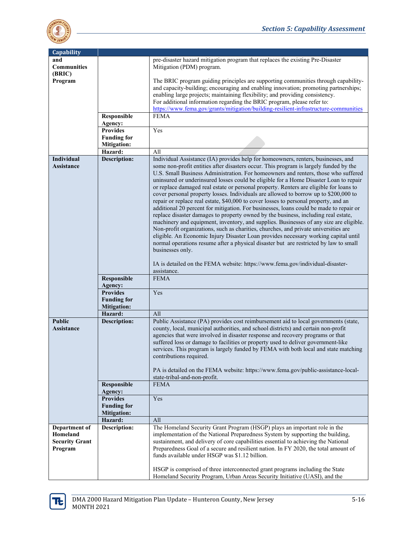

| <b>Capability</b>                                             |                                          |                                                                                                                                                                                                                                                                                                                                                                                                                                                                                                                                                                                                                                                                                                                                                                                                                                                                                                                                                                                                                                                                                                                                                                                                                     |
|---------------------------------------------------------------|------------------------------------------|---------------------------------------------------------------------------------------------------------------------------------------------------------------------------------------------------------------------------------------------------------------------------------------------------------------------------------------------------------------------------------------------------------------------------------------------------------------------------------------------------------------------------------------------------------------------------------------------------------------------------------------------------------------------------------------------------------------------------------------------------------------------------------------------------------------------------------------------------------------------------------------------------------------------------------------------------------------------------------------------------------------------------------------------------------------------------------------------------------------------------------------------------------------------------------------------------------------------|
| and<br><b>Communities</b><br>(BRIC)                           |                                          | pre-disaster hazard mitigation program that replaces the existing Pre-Disaster<br>Mitigation (PDM) program.                                                                                                                                                                                                                                                                                                                                                                                                                                                                                                                                                                                                                                                                                                                                                                                                                                                                                                                                                                                                                                                                                                         |
| Program                                                       |                                          | The BRIC program guiding principles are supporting communities through capability-<br>and capacity-building; encouraging and enabling innovation; promoting partnerships;<br>enabling large projects; maintaining flexibility; and providing consistency.<br>For additional information regarding the BRIC program, please refer to:<br>https://www.fema.gov/grants/mitigation/building-resilient-infrastructure-communities                                                                                                                                                                                                                                                                                                                                                                                                                                                                                                                                                                                                                                                                                                                                                                                        |
|                                                               | Responsible<br>Agency:                   | <b>FEMA</b>                                                                                                                                                                                                                                                                                                                                                                                                                                                                                                                                                                                                                                                                                                                                                                                                                                                                                                                                                                                                                                                                                                                                                                                                         |
|                                                               | <b>Provides</b>                          | Yes                                                                                                                                                                                                                                                                                                                                                                                                                                                                                                                                                                                                                                                                                                                                                                                                                                                                                                                                                                                                                                                                                                                                                                                                                 |
|                                                               | <b>Funding for</b><br><b>Mitigation:</b> |                                                                                                                                                                                                                                                                                                                                                                                                                                                                                                                                                                                                                                                                                                                                                                                                                                                                                                                                                                                                                                                                                                                                                                                                                     |
|                                                               | Hazard:                                  | All                                                                                                                                                                                                                                                                                                                                                                                                                                                                                                                                                                                                                                                                                                                                                                                                                                                                                                                                                                                                                                                                                                                                                                                                                 |
| Individual                                                    | <b>Description:</b>                      | Individual Assistance (IA) provides help for homeowners, renters, businesses, and                                                                                                                                                                                                                                                                                                                                                                                                                                                                                                                                                                                                                                                                                                                                                                                                                                                                                                                                                                                                                                                                                                                                   |
| Assistance                                                    |                                          | some non-profit entities after disasters occur. This program is largely funded by the<br>U.S. Small Business Administration. For homeowners and renters, those who suffered<br>uninsured or underinsured losses could be eligible for a Home Disaster Loan to repair<br>or replace damaged real estate or personal property. Renters are eligible for loans to<br>cover personal property losses. Individuals are allowed to borrow up to \$200,000 to<br>repair or replace real estate, \$40,000 to cover losses to personal property, and an<br>additional 20 percent for mitigation. For businesses, loans could be made to repair or<br>replace disaster damages to property owned by the business, including real estate,<br>machinery and equipment, inventory, and supplies. Businesses of any size are eligible.<br>Non-profit organizations, such as charities, churches, and private universities are<br>eligible. An Economic Injury Disaster Loan provides necessary working capital until<br>normal operations resume after a physical disaster but are restricted by law to small<br>businesses only.<br>IA is detailed on the FEMA website: https://www.fema.gov/individual-disaster-<br>assistance. |
|                                                               | Responsible                              | <b>FEMA</b>                                                                                                                                                                                                                                                                                                                                                                                                                                                                                                                                                                                                                                                                                                                                                                                                                                                                                                                                                                                                                                                                                                                                                                                                         |
|                                                               | Agency:                                  |                                                                                                                                                                                                                                                                                                                                                                                                                                                                                                                                                                                                                                                                                                                                                                                                                                                                                                                                                                                                                                                                                                                                                                                                                     |
|                                                               | <b>Provides</b>                          | Yes                                                                                                                                                                                                                                                                                                                                                                                                                                                                                                                                                                                                                                                                                                                                                                                                                                                                                                                                                                                                                                                                                                                                                                                                                 |
|                                                               | <b>Funding for</b>                       |                                                                                                                                                                                                                                                                                                                                                                                                                                                                                                                                                                                                                                                                                                                                                                                                                                                                                                                                                                                                                                                                                                                                                                                                                     |
|                                                               | <b>Mitigation:</b>                       |                                                                                                                                                                                                                                                                                                                                                                                                                                                                                                                                                                                                                                                                                                                                                                                                                                                                                                                                                                                                                                                                                                                                                                                                                     |
|                                                               | Hazard:                                  | All                                                                                                                                                                                                                                                                                                                                                                                                                                                                                                                                                                                                                                                                                                                                                                                                                                                                                                                                                                                                                                                                                                                                                                                                                 |
| <b>Public</b>                                                 | <b>Description:</b>                      | Public Assistance (PA) provides cost reimbursement aid to local governments (state,                                                                                                                                                                                                                                                                                                                                                                                                                                                                                                                                                                                                                                                                                                                                                                                                                                                                                                                                                                                                                                                                                                                                 |
| Assistance                                                    |                                          | county, local, municipal authorities, and school districts) and certain non-profit<br>agencies that were involved in disaster response and recovery programs or that<br>suffered loss or damage to facilities or property used to deliver government-like<br>services. This program is largely funded by FEMA with both local and state matching<br>contributions required.<br>PA is detailed on the FEMA website: https://www.fema.gov/public-assistance-local-<br>state-tribal-and-non-profit.                                                                                                                                                                                                                                                                                                                                                                                                                                                                                                                                                                                                                                                                                                                    |
|                                                               | Responsible                              | <b>FEMA</b>                                                                                                                                                                                                                                                                                                                                                                                                                                                                                                                                                                                                                                                                                                                                                                                                                                                                                                                                                                                                                                                                                                                                                                                                         |
|                                                               | Agency:                                  |                                                                                                                                                                                                                                                                                                                                                                                                                                                                                                                                                                                                                                                                                                                                                                                                                                                                                                                                                                                                                                                                                                                                                                                                                     |
|                                                               | <b>Provides</b>                          | Yes                                                                                                                                                                                                                                                                                                                                                                                                                                                                                                                                                                                                                                                                                                                                                                                                                                                                                                                                                                                                                                                                                                                                                                                                                 |
|                                                               | <b>Funding for</b>                       |                                                                                                                                                                                                                                                                                                                                                                                                                                                                                                                                                                                                                                                                                                                                                                                                                                                                                                                                                                                                                                                                                                                                                                                                                     |
|                                                               | <b>Mitigation:</b>                       |                                                                                                                                                                                                                                                                                                                                                                                                                                                                                                                                                                                                                                                                                                                                                                                                                                                                                                                                                                                                                                                                                                                                                                                                                     |
|                                                               | Hazard:                                  | All                                                                                                                                                                                                                                                                                                                                                                                                                                                                                                                                                                                                                                                                                                                                                                                                                                                                                                                                                                                                                                                                                                                                                                                                                 |
| Department of<br>Homeland<br><b>Security Grant</b><br>Program | <b>Description:</b>                      | The Homeland Security Grant Program (HSGP) plays an important role in the<br>implementation of the National Preparedness System by supporting the building,<br>sustainment, and delivery of core capabilities essential to achieving the National<br>Preparedness Goal of a secure and resilient nation. In FY 2020, the total amount of<br>funds available under HSGP was \$1.12 billion.<br>HSGP is comprised of three interconnected grant programs including the State<br>Homeland Security Program, Urban Areas Security Initiative (UASI), and the                                                                                                                                                                                                                                                                                                                                                                                                                                                                                                                                                                                                                                                            |

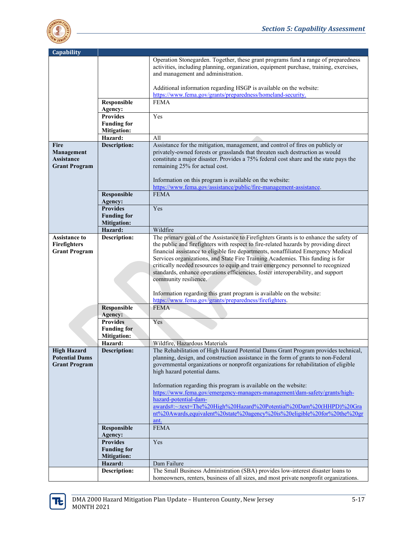

| <b>Capability</b>                           |                                          |                                                                                                                                                                               |
|---------------------------------------------|------------------------------------------|-------------------------------------------------------------------------------------------------------------------------------------------------------------------------------|
|                                             |                                          |                                                                                                                                                                               |
|                                             |                                          | Operation Stonegarden. Together, these grant programs fund a range of preparedness<br>activities, including planning, organization, equipment purchase, training, exercises,  |
|                                             |                                          | and management and administration.                                                                                                                                            |
|                                             |                                          |                                                                                                                                                                               |
|                                             |                                          | Additional information regarding HSGP is available on the website:                                                                                                            |
|                                             |                                          | https://www.fema.gov/grants/preparedness/homeland-security.                                                                                                                   |
|                                             | Responsible                              | <b>FEMA</b>                                                                                                                                                                   |
|                                             | Agency:<br><b>Provides</b>               | Yes                                                                                                                                                                           |
|                                             | <b>Funding for</b>                       |                                                                                                                                                                               |
|                                             | <b>Mitigation:</b>                       |                                                                                                                                                                               |
|                                             | Hazard:                                  | All                                                                                                                                                                           |
| <b>Fire</b>                                 | <b>Description:</b>                      | Assistance for the mitigation, management, and control of fires on publicly or                                                                                                |
| Management                                  |                                          | privately-owned forests or grasslands that threaten such destruction as would                                                                                                 |
| Assistance                                  |                                          | constitute a major disaster. Provides a 75% federal cost share and the state pays the                                                                                         |
| <b>Grant Program</b>                        |                                          | remaining 25% for actual cost.                                                                                                                                                |
|                                             |                                          |                                                                                                                                                                               |
|                                             |                                          | Information on this program is available on the website:                                                                                                                      |
|                                             |                                          | https://www.fema.gov/assistance/public/fire-management-assistance.                                                                                                            |
|                                             | <b>Responsible</b>                       | <b>FEMA</b>                                                                                                                                                                   |
|                                             | Agency:                                  |                                                                                                                                                                               |
|                                             | <b>Provides</b>                          | Yes                                                                                                                                                                           |
|                                             | <b>Funding for</b>                       |                                                                                                                                                                               |
|                                             | <b>Mitigation:</b>                       |                                                                                                                                                                               |
|                                             | Hazard:                                  | Wildfire                                                                                                                                                                      |
| <b>Assistance to</b><br><b>Firefighters</b> | Description:                             | The primary goal of the Assistance to Firefighters Grants is to enhance the safety of<br>the public and firefighters with respect to fire-related hazards by providing direct |
| <b>Grant Program</b>                        |                                          | financial assistance to eligible fire departments, nonaffiliated Emergency Medical                                                                                            |
|                                             |                                          | Services organizations, and State Fire Training Academies. This funding is for                                                                                                |
|                                             |                                          | critically needed resources to equip and train emergency personnel to recognized                                                                                              |
|                                             |                                          | standards, enhance operations efficiencies, foster interoperability, and support                                                                                              |
|                                             |                                          | community resilience.                                                                                                                                                         |
|                                             |                                          |                                                                                                                                                                               |
|                                             |                                          | Information regarding this grant program is available on the website:                                                                                                         |
|                                             |                                          | https://www.fema.gov/grants/preparedness/firefighters.                                                                                                                        |
|                                             | <b>Responsible</b>                       | <b>FEMA</b>                                                                                                                                                                   |
|                                             | Agency:                                  |                                                                                                                                                                               |
|                                             | <b>Provides</b>                          | Yes                                                                                                                                                                           |
|                                             | <b>Funding for</b><br><b>Mitigation:</b> |                                                                                                                                                                               |
|                                             | Hazard:                                  | Wildfire, Hazardous Materials                                                                                                                                                 |
| <b>High Hazard</b>                          | <b>Description:</b>                      | The Rehabilitation of High Hazard Potential Dams Grant Program provides technical,                                                                                            |
| <b>Potential Dams</b>                       |                                          | planning, design, and construction assistance in the form of grants to non-Federal                                                                                            |
| <b>Grant Program</b>                        |                                          | governmental organizations or nonprofit organizations for rehabilitation of eligible                                                                                          |
|                                             |                                          | high hazard potential dams.                                                                                                                                                   |
|                                             |                                          |                                                                                                                                                                               |
|                                             |                                          | Information regarding this program is available on the website:                                                                                                               |
|                                             |                                          | https://www.fema.gov/emergency-managers-management/dam-safety/grants/high-                                                                                                    |
|                                             |                                          | hazard-potential-dam-                                                                                                                                                         |
|                                             |                                          | awards#:~:text=The%20High%20Hazard%20Potential%20Dam%20(HHPD)%20Gra                                                                                                           |
|                                             |                                          | nt%20Awards,equivalent%20state%20agency%20is%20eligible%20for%20the%20gr                                                                                                      |
|                                             | Responsible                              | ant.<br><b>FEMA</b>                                                                                                                                                           |
|                                             | Agency:                                  |                                                                                                                                                                               |
|                                             | <b>Provides</b>                          | Yes                                                                                                                                                                           |
|                                             | <b>Funding for</b>                       |                                                                                                                                                                               |
|                                             | <b>Mitigation:</b>                       |                                                                                                                                                                               |
|                                             | Hazard:                                  | Dam Failure                                                                                                                                                                   |
|                                             | <b>Description:</b>                      | The Small Business Administration (SBA) provides low-interest disaster loans to                                                                                               |
|                                             |                                          | homeowners, renters, business of all sizes, and most private nonprofit organizations.                                                                                         |

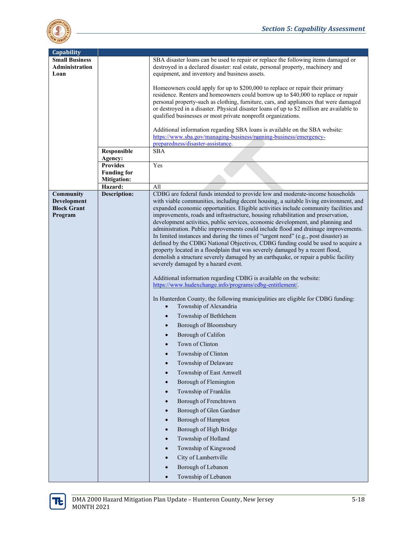

| Capability                                                |                                                             |                                                                                                                                                                                                                                                                                                                                                                                                                                                                                                                                                                                                                                                                                                                                                                                                                                                                                                                                                                                                                                                                                                                                                                                                                                                                                                                                                                                                                                                                                                                                                          |
|-----------------------------------------------------------|-------------------------------------------------------------|----------------------------------------------------------------------------------------------------------------------------------------------------------------------------------------------------------------------------------------------------------------------------------------------------------------------------------------------------------------------------------------------------------------------------------------------------------------------------------------------------------------------------------------------------------------------------------------------------------------------------------------------------------------------------------------------------------------------------------------------------------------------------------------------------------------------------------------------------------------------------------------------------------------------------------------------------------------------------------------------------------------------------------------------------------------------------------------------------------------------------------------------------------------------------------------------------------------------------------------------------------------------------------------------------------------------------------------------------------------------------------------------------------------------------------------------------------------------------------------------------------------------------------------------------------|
| <b>Small Business</b><br><b>Administration</b><br>Loan    |                                                             | SBA disaster loans can be used to repair or replace the following items damaged or<br>destroyed in a declared disaster: real estate, personal property, machinery and<br>equipment, and inventory and business assets.                                                                                                                                                                                                                                                                                                                                                                                                                                                                                                                                                                                                                                                                                                                                                                                                                                                                                                                                                                                                                                                                                                                                                                                                                                                                                                                                   |
|                                                           |                                                             | Homeowners could apply for up to \$200,000 to replace or repair their primary<br>residence. Renters and homeowners could borrow up to \$40,000 to replace or repair<br>personal property-such as clothing, furniture, cars, and appliances that were damaged<br>or destroyed in a disaster. Physical disaster loans of up to \$2 million are available to<br>qualified businesses or most private nonprofit organizations.                                                                                                                                                                                                                                                                                                                                                                                                                                                                                                                                                                                                                                                                                                                                                                                                                                                                                                                                                                                                                                                                                                                               |
|                                                           |                                                             | Additional information regarding SBA loans is available on the SBA website:<br>https://www.sba.gov/managing-business/running-business/emergency-<br>preparedness/disaster-assistance.                                                                                                                                                                                                                                                                                                                                                                                                                                                                                                                                                                                                                                                                                                                                                                                                                                                                                                                                                                                                                                                                                                                                                                                                                                                                                                                                                                    |
|                                                           | Responsible                                                 | <b>SBA</b>                                                                                                                                                                                                                                                                                                                                                                                                                                                                                                                                                                                                                                                                                                                                                                                                                                                                                                                                                                                                                                                                                                                                                                                                                                                                                                                                                                                                                                                                                                                                               |
|                                                           | Agency:                                                     |                                                                                                                                                                                                                                                                                                                                                                                                                                                                                                                                                                                                                                                                                                                                                                                                                                                                                                                                                                                                                                                                                                                                                                                                                                                                                                                                                                                                                                                                                                                                                          |
|                                                           | <b>Provides</b><br><b>Funding for</b><br><b>Mitigation:</b> | Yes                                                                                                                                                                                                                                                                                                                                                                                                                                                                                                                                                                                                                                                                                                                                                                                                                                                                                                                                                                                                                                                                                                                                                                                                                                                                                                                                                                                                                                                                                                                                                      |
|                                                           | Hazard:                                                     | All                                                                                                                                                                                                                                                                                                                                                                                                                                                                                                                                                                                                                                                                                                                                                                                                                                                                                                                                                                                                                                                                                                                                                                                                                                                                                                                                                                                                                                                                                                                                                      |
| Community<br>Development<br><b>Block Grant</b><br>Program | <b>Description:</b>                                         | CDBG are federal funds intended to provide low and moderate-income households<br>with viable communities, including decent housing, a suitable living environment, and<br>expanded economic opportunities. Eligible activities include community facilities and<br>improvements, roads and infrastructure, housing rehabilitation and preservation,<br>development activities, public services, economic development, and planning and<br>administration. Public improvements could include flood and drainage improvements.<br>In limited instances and during the times of "urgent need" (e.g., post disaster) as<br>defined by the CDBG National Objectives, CDBG funding could be used to acquire a<br>property located in a floodplain that was severely damaged by a recent flood,<br>demolish a structure severely damaged by an earthquake, or repair a public facility<br>severely damaged by a hazard event.<br>Additional information regarding CDBG is available on the website:<br>https://www.hudexchange.info/programs/cdbg-entitlement/.<br>In Hunterdon County, the following municipalities are eligible for CDBG funding:<br>Township of Alexandria<br>$\bullet$<br>Township of Bethlehem<br>$\bullet$<br>Borough of Bloomsbury<br>$\bullet$<br>Borough of Califon<br>Town of Clinton<br>Township of Clinton<br>$\bullet$<br>Township of Delaware<br>Township of East Amwell<br>$\bullet$<br>Borough of Flemington<br>$\bullet$<br>Township of Franklin<br>$\bullet$<br>Borough of Frenchtown<br>$\bullet$<br>Borough of Glen Gardner |
|                                                           |                                                             | Borough of Hampton<br>$\bullet$<br>Borough of High Bridge<br>$\bullet$<br>Township of Holland<br>$\bullet$<br>Township of Kingwood<br>$\bullet$<br>City of Lambertville<br>$\bullet$<br>Borough of Lebanon<br>Township of Lebanon<br>$\bullet$                                                                                                                                                                                                                                                                                                                                                                                                                                                                                                                                                                                                                                                                                                                                                                                                                                                                                                                                                                                                                                                                                                                                                                                                                                                                                                           |

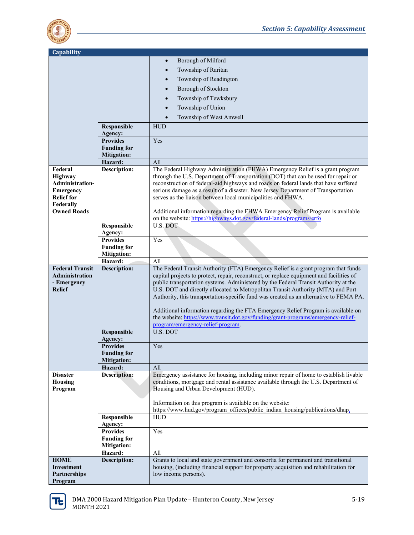

| Capability                   |                                          |                                                                                                                                                                           |
|------------------------------|------------------------------------------|---------------------------------------------------------------------------------------------------------------------------------------------------------------------------|
|                              |                                          | Borough of Milford<br>$\bullet$                                                                                                                                           |
|                              |                                          | Township of Raritan<br>$\bullet$                                                                                                                                          |
|                              |                                          | Township of Readington<br>$\bullet$                                                                                                                                       |
|                              |                                          |                                                                                                                                                                           |
|                              |                                          | Borough of Stockton<br>$\bullet$                                                                                                                                          |
|                              |                                          | Township of Tewksbury<br>$\bullet$                                                                                                                                        |
|                              |                                          | Township of Union<br>$\bullet$                                                                                                                                            |
|                              |                                          | Township of West Amwell<br>$\bullet$                                                                                                                                      |
|                              | Responsible                              | <b>HUD</b>                                                                                                                                                                |
|                              | Agency:                                  |                                                                                                                                                                           |
|                              | <b>Provides</b>                          | Yes                                                                                                                                                                       |
|                              | <b>Funding for</b>                       |                                                                                                                                                                           |
|                              | <b>Mitigation:</b>                       |                                                                                                                                                                           |
|                              | Hazard:                                  | All                                                                                                                                                                       |
| Federal                      | Description:                             | The Federal Highway Administration (FHWA) Emergency Relief is a grant program                                                                                             |
| <b>Highway</b>               |                                          | through the U.S. Department of Transportation (DOT) that can be used for repair or                                                                                        |
| Administration-<br>Emergency |                                          | reconstruction of federal-aid highways and roads on federal lands that have suffered<br>serious damage as a result of a disaster. New Jersey Department of Transportation |
| <b>Relief for</b>            |                                          | serves as the liaison between local municipalities and FHWA.                                                                                                              |
| Federally                    |                                          |                                                                                                                                                                           |
| <b>Owned Roads</b>           |                                          | Additional information regarding the FHWA Emergency Relief Program is available                                                                                           |
|                              |                                          | on the website: https://highways.dot.gov/federal-lands/programs/erfo                                                                                                      |
|                              | Responsible                              | U.S. DOT                                                                                                                                                                  |
|                              | Agency:                                  |                                                                                                                                                                           |
|                              | <b>Provides</b>                          | Yes                                                                                                                                                                       |
|                              | <b>Funding for</b><br><b>Mitigation:</b> |                                                                                                                                                                           |
|                              | Hazard:                                  | All                                                                                                                                                                       |
| <b>Federal Transit</b>       | <b>Description:</b>                      | The Federal Transit Authority (FTA) Emergency Relief is a grant program that funds                                                                                        |
| <b>Administration</b>        |                                          | capital projects to protect, repair, reconstruct, or replace equipment and facilities of                                                                                  |
| - Emergency                  |                                          | public transportation systems. Administered by the Federal Transit Authority at the                                                                                       |
| <b>Relief</b>                |                                          | U.S. DOT and directly allocated to Metropolitan Transit Authority (MTA) and Port                                                                                          |
|                              |                                          | Authority, this transportation-specific fund was created as an alternative to FEMA PA.                                                                                    |
|                              |                                          | Additional information regarding the FTA Emergency Relief Program is available on                                                                                         |
|                              |                                          | the website: https://www.transit.dot.gov/funding/grant-programs/emergency-relief-                                                                                         |
|                              |                                          | program/emergency-relief-program.                                                                                                                                         |
|                              | Responsible                              | U.S. DOT                                                                                                                                                                  |
|                              | Agency:                                  |                                                                                                                                                                           |
|                              | <b>Provides</b>                          | Yes                                                                                                                                                                       |
|                              | <b>Funding for</b>                       |                                                                                                                                                                           |
|                              | <b>Mitigation:</b>                       |                                                                                                                                                                           |
| <b>Disaster</b>              | Hazard:<br><b>Description:</b>           | All<br>Emergency assistance for housing, including minor repair of home to establish livable                                                                              |
| <b>Housing</b>               |                                          | conditions, mortgage and rental assistance available through the U.S. Department of                                                                                       |
| Program                      |                                          | Housing and Urban Development (HUD).                                                                                                                                      |
|                              |                                          |                                                                                                                                                                           |
|                              |                                          | Information on this program is available on the website:                                                                                                                  |
|                              |                                          | https://www.hud.gov/program offices/public indian housing/publications/dhap.                                                                                              |
|                              | Responsible                              | HUD                                                                                                                                                                       |
|                              | Agency:<br><b>Provides</b>               | Yes                                                                                                                                                                       |
|                              | <b>Funding for</b>                       |                                                                                                                                                                           |
|                              | <b>Mitigation:</b>                       |                                                                                                                                                                           |
|                              | Hazard:                                  | All                                                                                                                                                                       |
| <b>HOME</b>                  | Description:                             | Grants to local and state government and consortia for permanent and transitional                                                                                         |
| Investment                   |                                          | housing, (including financial support for property acquisition and rehabilitation for                                                                                     |
| <b>Partnerships</b>          |                                          | low income persons).                                                                                                                                                      |
| Program                      |                                          |                                                                                                                                                                           |

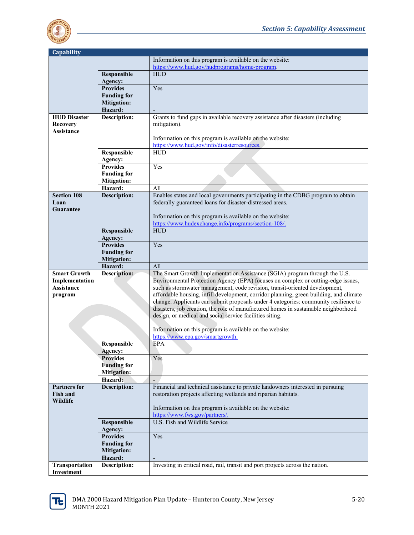

| <b>Capability</b>   |                               |                                                                                                                                                                            |
|---------------------|-------------------------------|----------------------------------------------------------------------------------------------------------------------------------------------------------------------------|
|                     |                               | Information on this program is available on the website:                                                                                                                   |
|                     |                               | https://www.hud.gov/hudprograms/home-program.                                                                                                                              |
|                     | Responsible                   | <b>HUD</b>                                                                                                                                                                 |
|                     | Agency:                       |                                                                                                                                                                            |
|                     | <b>Provides</b>               | Yes                                                                                                                                                                        |
|                     | <b>Funding for</b>            |                                                                                                                                                                            |
|                     | <b>Mitigation:</b>            |                                                                                                                                                                            |
|                     | Hazard:                       |                                                                                                                                                                            |
| <b>HUD Disaster</b> | <b>Description:</b>           | Grants to fund gaps in available recovery assistance after disasters (including                                                                                            |
| <b>Recovery</b>     |                               | mitigation).                                                                                                                                                               |
| Assistance          |                               |                                                                                                                                                                            |
|                     |                               | Information on this program is available on the website:                                                                                                                   |
|                     |                               | https://www.hud.gov/info/disasterresources.                                                                                                                                |
|                     | Responsible                   | <b>HUD</b>                                                                                                                                                                 |
|                     | Agency:                       |                                                                                                                                                                            |
|                     | <b>Provides</b>               | Yes                                                                                                                                                                        |
|                     | <b>Funding for</b>            |                                                                                                                                                                            |
|                     | <b>Mitigation:</b>            |                                                                                                                                                                            |
|                     | Hazard:                       | All                                                                                                                                                                        |
| <b>Section 108</b>  | <b>Description:</b>           | Enables states and local governments participating in the CDBG program to obtain                                                                                           |
| Loan                |                               | federally guaranteed loans for disaster-distressed areas.                                                                                                                  |
| Guarantee           |                               |                                                                                                                                                                            |
|                     |                               | Information on this program is available on the website:<br>https://www.hudexchange.info/programs/section-108/.                                                            |
|                     | Responsible                   | <b>HUD</b>                                                                                                                                                                 |
|                     |                               |                                                                                                                                                                            |
|                     | Agency:<br><b>Provides</b>    | Yes                                                                                                                                                                        |
|                     | <b>Funding for</b>            |                                                                                                                                                                            |
|                     | <b>Mitigation:</b>            |                                                                                                                                                                            |
|                     | Hazard:                       | All                                                                                                                                                                        |
|                     |                               |                                                                                                                                                                            |
|                     |                               |                                                                                                                                                                            |
| <b>Smart Growth</b> | Description:                  | The Smart Growth Implementation Assistance (SGIA) program through the U.S.                                                                                                 |
| Implementation      |                               | Environmental Protection Agency (EPA) focuses on complex or cutting-edge issues,                                                                                           |
| Assistance          |                               | such as stormwater management, code revision, transit-oriented development,                                                                                                |
| program             |                               | affordable housing, infill development, corridor planning, green building, and climate                                                                                     |
|                     |                               | change. Applicants can submit proposals under 4 categories: community resilience to<br>disasters, job creation, the role of manufactured homes in sustainable neighborhood |
|                     |                               | design, or medical and social service facilities siting.                                                                                                                   |
|                     |                               |                                                                                                                                                                            |
|                     |                               | Information on this program is available on the website:                                                                                                                   |
|                     |                               | https://www.epa.gov/smartgrowth.                                                                                                                                           |
|                     | Responsible                   | EPA                                                                                                                                                                        |
|                     | Agency:                       |                                                                                                                                                                            |
|                     | <b>Provides</b>               | Yes                                                                                                                                                                        |
|                     | <b>Funding for</b>            |                                                                                                                                                                            |
|                     | <b>Mitigation:</b>            |                                                                                                                                                                            |
|                     | Hazard:                       |                                                                                                                                                                            |
| Partners for        | Description:                  | Financial and technical assistance to private landowners interested in pursuing                                                                                            |
| <b>Fish and</b>     |                               | restoration projects affecting wetlands and riparian habitats.                                                                                                             |
| Wildlife            |                               |                                                                                                                                                                            |
|                     |                               | Information on this program is available on the website:                                                                                                                   |
|                     |                               | https://www.fws.gov/partners/.                                                                                                                                             |
|                     | Responsible                   | U.S. Fish and Wildlife Service                                                                                                                                             |
|                     | Agency:                       |                                                                                                                                                                            |
|                     | <b>Provides</b>               | Yes                                                                                                                                                                        |
|                     | <b>Funding for</b>            |                                                                                                                                                                            |
|                     | <b>Mitigation:</b><br>Hazard: |                                                                                                                                                                            |
| Transportation      | Description:                  | Investing in critical road, rail, transit and port projects across the nation.                                                                                             |

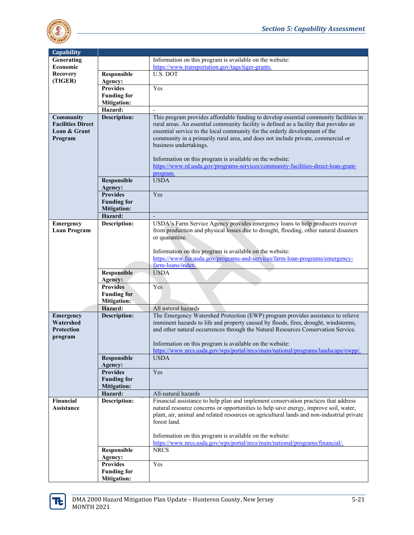

| Capability                       |                                          |                                                                                                                                               |
|----------------------------------|------------------------------------------|-----------------------------------------------------------------------------------------------------------------------------------------------|
| Generating                       |                                          | Information on this program is available on the website:                                                                                      |
| Economic                         |                                          | https://www.transportation.gov/tags/tiger-grants.                                                                                             |
| <b>Recovery</b>                  | Responsible                              | <b>U.S. DOT</b>                                                                                                                               |
| (TIGER)                          | Agency:                                  |                                                                                                                                               |
|                                  | <b>Provides</b>                          | Yes                                                                                                                                           |
|                                  | <b>Funding for</b>                       |                                                                                                                                               |
|                                  | <b>Mitigation:</b><br>Hazard:            |                                                                                                                                               |
| Community                        | <b>Description:</b>                      | This program provides affordable funding to develop essential community facilities in                                                         |
| <b>Facilities Direct</b>         |                                          | rural areas. An essential community facility is defined as a facility that provides an                                                        |
| Loan & Grant                     |                                          | essential service to the local community for the orderly development of the                                                                   |
| Program                          |                                          | community in a primarily rural area, and does not include private, commercial or                                                              |
|                                  |                                          | business undertakings.                                                                                                                        |
|                                  |                                          |                                                                                                                                               |
|                                  |                                          | Information on this program is available on the website:<br>https://www.rd.usda.gov/programs-services/community-facilities-direct-loan-grant- |
|                                  |                                          | program.                                                                                                                                      |
|                                  | Responsible                              | <b>USDA</b>                                                                                                                                   |
|                                  | Agency:                                  |                                                                                                                                               |
|                                  | <b>Provides</b>                          | Yes                                                                                                                                           |
|                                  | <b>Funding for</b>                       |                                                                                                                                               |
|                                  | <b>Mitigation:</b>                       |                                                                                                                                               |
|                                  | Hazard:                                  | USDA's Farm Service Agency provides emergency loans to help producers recover                                                                 |
| Emergency<br><b>Loan Program</b> | Description:                             | from production and physical losses due to drought, flooding, other natural disasters                                                         |
|                                  |                                          | or quarantine.                                                                                                                                |
|                                  |                                          |                                                                                                                                               |
|                                  |                                          | Information on this program is available on the website:                                                                                      |
|                                  |                                          | https://www.fsa.usda.gov/programs-and-services/farm-loan-programs/emergency-                                                                  |
|                                  |                                          | farm-loans/index.                                                                                                                             |
|                                  | <b>Responsible</b><br>Agency:            | <b>USDA</b>                                                                                                                                   |
|                                  | <b>Provides</b>                          | Yes                                                                                                                                           |
|                                  | <b>Funding for</b>                       |                                                                                                                                               |
|                                  | <b>Mitigation:</b>                       |                                                                                                                                               |
|                                  | Hazard:                                  | All natural hazards                                                                                                                           |
| <b>Emergency</b>                 | Description:                             | The Emergency Watershed Protection (EWP) program provides assistance to relieve                                                               |
| Watershed                        |                                          | imminent hazards to life and property caused by floods, fires, drought, windstorms,                                                           |
| <b>Protection</b><br>program     |                                          | and other natural occurrences through the Natural Resources Conservation Service.                                                             |
|                                  |                                          | Information on this program is available on the website:                                                                                      |
|                                  |                                          | https://www.nrcs.usda.gov/wps/portal/nrcs/main/national/programs/landscape/ewpp/.                                                             |
|                                  | Responsible                              | <b>USDA</b>                                                                                                                                   |
|                                  | Agency:                                  |                                                                                                                                               |
|                                  | <b>Provides</b>                          | Yes                                                                                                                                           |
|                                  | <b>Funding for</b><br><b>Mitigation:</b> |                                                                                                                                               |
|                                  | Hazard:                                  | All-natural hazards                                                                                                                           |
| Financial                        | <b>Description:</b>                      | Financial assistance to help plan and implement conservation practices that address                                                           |
| Assistance                       |                                          | natural resource concerns or opportunities to help save energy, improve soil, water,                                                          |
|                                  |                                          | plant, air, animal and related resources on agricultural lands and non-industrial private                                                     |
|                                  |                                          | forest land.                                                                                                                                  |
|                                  |                                          | Information on this program is available on the website:                                                                                      |
|                                  |                                          | https://www.nrcs.usda.gov/wps/portal/nrcs/main/national/programs/financial/.                                                                  |
|                                  | Responsible                              | <b>NRCS</b>                                                                                                                                   |
|                                  | Agency:                                  |                                                                                                                                               |
|                                  | <b>Provides</b>                          | Yes                                                                                                                                           |
|                                  | <b>Funding for</b>                       |                                                                                                                                               |
|                                  | <b>Mitigation:</b>                       |                                                                                                                                               |

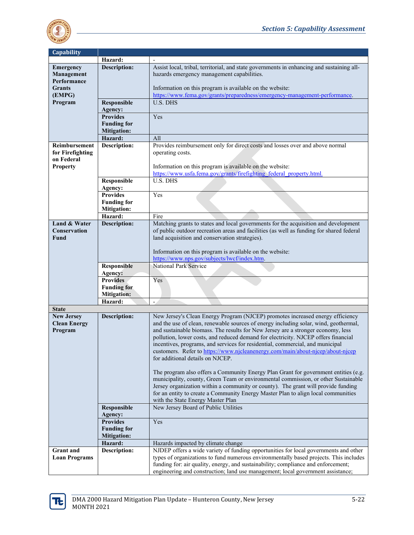

| Capability                                                                                                                                                                                         |  |
|----------------------------------------------------------------------------------------------------------------------------------------------------------------------------------------------------|--|
| Hazard:                                                                                                                                                                                            |  |
| <b>Description:</b><br>Assist local, tribal, territorial, and state governments in enhancing and sustaining all-<br><b>Emergency</b>                                                               |  |
| Management<br>hazards emergency management capabilities.                                                                                                                                           |  |
| Performance                                                                                                                                                                                        |  |
| Information on this program is available on the website:<br><b>Grants</b>                                                                                                                          |  |
| https://www.fema.gov/grants/preparedness/emergency-management-performance.<br>(EMPG)                                                                                                               |  |
| <b>U.S. DHS</b><br>Program<br>Responsible                                                                                                                                                          |  |
| Agency:                                                                                                                                                                                            |  |
| <b>Provides</b><br>Yes                                                                                                                                                                             |  |
| <b>Funding for</b>                                                                                                                                                                                 |  |
|                                                                                                                                                                                                    |  |
| <b>Mitigation:</b>                                                                                                                                                                                 |  |
| Hazard:<br>All                                                                                                                                                                                     |  |
| <b>Description:</b><br>Provides reimbursement only for direct costs and losses over and above normal<br><b>Reimbursement</b>                                                                       |  |
| for Firefighting<br>operating costs.                                                                                                                                                               |  |
| on Federal                                                                                                                                                                                         |  |
| Information on this program is available on the website:<br><b>Property</b>                                                                                                                        |  |
| https://www.usfa.fema.gov/grants/firefighting federal property.html.                                                                                                                               |  |
| <b>U.S. DHS</b><br>Responsible                                                                                                                                                                     |  |
| Agency:                                                                                                                                                                                            |  |
| <b>Provides</b><br>Yes                                                                                                                                                                             |  |
| <b>Funding for</b>                                                                                                                                                                                 |  |
| <b>Mitigation:</b>                                                                                                                                                                                 |  |
| Hazard:<br>Fire                                                                                                                                                                                    |  |
| <b>Description:</b><br>Matching grants to states and local governments for the acquisition and development<br>Land & Water                                                                         |  |
| <b>Conservation</b><br>of public outdoor recreation areas and facilities (as well as funding for shared federal                                                                                    |  |
| land acquisition and conservation strategies).<br>Fund                                                                                                                                             |  |
|                                                                                                                                                                                                    |  |
|                                                                                                                                                                                                    |  |
|                                                                                                                                                                                                    |  |
| Information on this program is available on the website:                                                                                                                                           |  |
| https://www.nps.gov/subjects/lwcf/index.htm.                                                                                                                                                       |  |
| National Park Service<br>Responsible                                                                                                                                                               |  |
| Agency:                                                                                                                                                                                            |  |
| <b>Provides</b><br>Yes                                                                                                                                                                             |  |
| <b>Funding for</b>                                                                                                                                                                                 |  |
| <b>Mitigation:</b>                                                                                                                                                                                 |  |
| Hazard:<br>$\qquad \qquad -$                                                                                                                                                                       |  |
| <b>State</b>                                                                                                                                                                                       |  |
| New Jersey's Clean Energy Program (NJCEP) promotes increased energy efficiency<br><b>New Jersey</b><br>Description:                                                                                |  |
| <b>Clean Energy</b><br>and the use of clean, renewable sources of energy including solar, wind, geothermal,                                                                                        |  |
| and sustainable biomass. The results for New Jersey are a stronger economy, less<br>Program                                                                                                        |  |
| pollution, lower costs, and reduced demand for electricity. NJCEP offers financial                                                                                                                 |  |
| incentives, programs, and services for residential, commercial, and municipal                                                                                                                      |  |
| customers. Refer to https://www.njcleanenergy.com/main/about-njcep/about-njcep                                                                                                                     |  |
| for additional details on NJCEP.                                                                                                                                                                   |  |
|                                                                                                                                                                                                    |  |
| The program also offers a Community Energy Plan Grant for government entities (e.g.                                                                                                                |  |
| municipality, county, Green Team or environmental commission, or other Sustainable                                                                                                                 |  |
| Jersey organization within a community or county). The grant will provide funding                                                                                                                  |  |
| for an entity to create a Community Energy Master Plan to align local communities                                                                                                                  |  |
| with the State Energy Master Plan                                                                                                                                                                  |  |
| Responsible<br>New Jersey Board of Public Utilities                                                                                                                                                |  |
| Agency:                                                                                                                                                                                            |  |
| <b>Provides</b><br>Yes                                                                                                                                                                             |  |
| <b>Funding for</b>                                                                                                                                                                                 |  |
|                                                                                                                                                                                                    |  |
| <b>Mitigation:</b><br>Hazard:                                                                                                                                                                      |  |
| Hazards impacted by climate change                                                                                                                                                                 |  |
| NJDEP offers a wide variety of funding opportunities for local governments and other<br><b>Grant</b> and<br><b>Description:</b>                                                                    |  |
| types of organizations to fund numerous environmentally based projects. This includes<br><b>Loan Programs</b><br>funding for: air quality, energy, and sustainability; compliance and enforcement; |  |

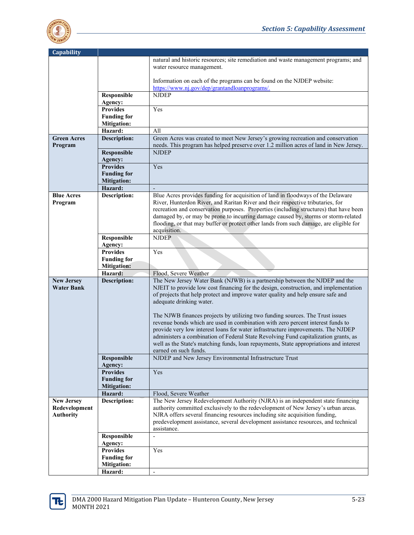

| <b>Capability</b>  |                               |                                                                                        |
|--------------------|-------------------------------|----------------------------------------------------------------------------------------|
|                    |                               | natural and historic resources; site remediation and waste management programs; and    |
|                    |                               | water resource management.                                                             |
|                    |                               |                                                                                        |
|                    |                               | Information on each of the programs can be found on the NJDEP website:                 |
|                    |                               | https://www.ni.gov/dep/grantandloanprograms/.                                          |
|                    | Responsible                   | <b>NJDEP</b>                                                                           |
|                    | Agency:                       |                                                                                        |
|                    | <b>Provides</b>               | Yes                                                                                    |
|                    | <b>Funding for</b>            |                                                                                        |
|                    | <b>Mitigation:</b>            |                                                                                        |
|                    | Hazard:                       | All                                                                                    |
| <b>Green Acres</b> | <b>Description:</b>           | Green Acres was created to meet New Jersey's growing recreation and conservation       |
| Program            |                               | needs. This program has helped preserve over 1.2 million acres of land in New Jersey.  |
|                    | Responsible                   | <b>NJDEP</b>                                                                           |
|                    | Agency:                       |                                                                                        |
|                    | <b>Provides</b>               | Yes                                                                                    |
|                    | <b>Funding for</b>            |                                                                                        |
|                    | <b>Mitigation:</b>            |                                                                                        |
|                    | Hazard:                       |                                                                                        |
| <b>Blue Acres</b>  | <b>Description:</b>           | Blue Acres provides funding for acquisition of land in floodways of the Delaware       |
| Program            |                               | River, Hunterdon River, and Raritan River and their respective tributaries, for        |
|                    |                               | recreation and conservation purposes. Properties (including structures) that have been |
|                    |                               | damaged by, or may be prone to incurring damage caused by, storms or storm-related     |
|                    |                               | flooding, or that may buffer or protect other lands from such damage, are eligible for |
|                    |                               | acquisition.                                                                           |
|                    | Responsible                   | <b>NJDEP</b>                                                                           |
|                    | Agency:                       |                                                                                        |
|                    | <b>Provides</b>               | Yes                                                                                    |
|                    | <b>Funding for</b>            |                                                                                        |
|                    |                               |                                                                                        |
|                    | <b>Mitigation:</b>            |                                                                                        |
|                    | Hazard:                       | Flood, Severe Weather                                                                  |
| <b>New Jersey</b>  | <b>Description:</b>           | The New Jersey Water Bank (NJWB) is a partnership between the NJDEP and the            |
| <b>Water Bank</b>  |                               | NJEIT to provide low cost financing for the design, construction, and implementation   |
|                    |                               | of projects that help protect and improve water quality and help ensure safe and       |
|                    |                               | adequate drinking water.                                                               |
|                    |                               |                                                                                        |
|                    |                               | The NJWB finances projects by utilizing two funding sources. The Trust issues          |
|                    |                               | revenue bonds which are used in combination with zero percent interest funds to        |
|                    |                               | provide very low interest loans for water infrastructure improvements. The NJDEP       |
|                    |                               | administers a combination of Federal State Revolving Fund capitalization grants, as    |
|                    |                               | well as the State's matching funds, loan repayments, State appropriations and interest |
|                    |                               | earned on such funds.                                                                  |
|                    | Responsible<br>Agency:        | NJDEP and New Jersey Environmental Infrastructure Trust                                |
|                    | <b>Provides</b>               | Yes                                                                                    |
|                    | <b>Funding for</b>            |                                                                                        |
|                    | <b>Mitigation:</b>            |                                                                                        |
|                    | Hazard:                       | Flood, Severe Weather                                                                  |
| <b>New Jersey</b>  | <b>Description:</b>           | The New Jersey Redevelopment Authority (NJRA) is an independent state financing        |
| Redevelopment      |                               | authority committed exclusively to the redevelopment of New Jersey's urban areas.      |
| <b>Authority</b>   |                               | NJRA offers several financing resources including site acquisition funding,            |
|                    |                               | predevelopment assistance, several development assistance resources, and technical     |
|                    |                               | assistance.                                                                            |
|                    | Responsible                   |                                                                                        |
|                    | Agency:                       |                                                                                        |
|                    | <b>Provides</b>               | Yes                                                                                    |
|                    | <b>Funding for</b>            |                                                                                        |
|                    | <b>Mitigation:</b><br>Hazard: |                                                                                        |

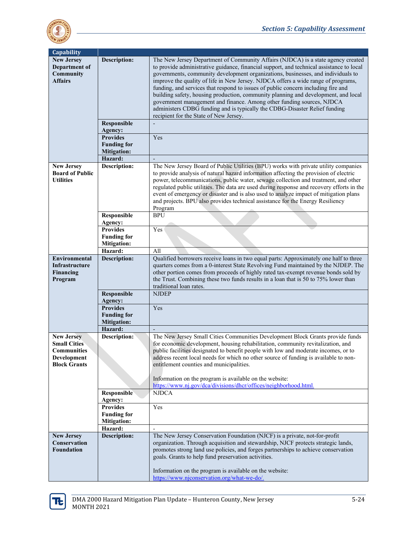

| Capability             |                                          |                                                                                                                |
|------------------------|------------------------------------------|----------------------------------------------------------------------------------------------------------------|
| <b>New Jersey</b>      | <b>Description:</b>                      | The New Jersey Department of Community Affairs (NJDCA) is a state agency created                               |
| Department of          |                                          | to provide administrative guidance, financial support, and technical assistance to local                       |
| <b>Community</b>       |                                          | governments, community development organizations, businesses, and individuals to                               |
| <b>Affairs</b>         |                                          | improve the quality of life in New Jersey. NJDCA offers a wide range of programs,                              |
|                        |                                          | funding, and services that respond to issues of public concern including fire and                              |
|                        |                                          | building safety, housing production, community planning and development, and local                             |
|                        |                                          | government management and finance. Among other funding sources, NJDCA                                          |
|                        |                                          | administers CDBG funding and is typically the CDBG-Disaster Relief funding                                     |
|                        |                                          | recipient for the State of New Jersey.                                                                         |
|                        | Responsible                              |                                                                                                                |
|                        | Agency:                                  |                                                                                                                |
|                        | <b>Provides</b>                          | Yes                                                                                                            |
|                        | <b>Funding for</b>                       |                                                                                                                |
|                        | <b>Mitigation:</b>                       |                                                                                                                |
|                        | Hazard:                                  |                                                                                                                |
| <b>New Jersey</b>      | Description:                             | The New Jersey Board of Public Utilities (BPU) works with private utility companies                            |
| <b>Board of Public</b> |                                          | to provide analysis of natural hazard information affecting the provision of electric                          |
| <b>Utilities</b>       |                                          | power, telecommunications, public water, sewage collection and treatment, and other                            |
|                        |                                          | regulated public utilities. The data are used during response and recovery efforts in the                      |
|                        |                                          | event of emergency or disaster and is also used to analyze impact of mitigation plans                          |
|                        |                                          | and projects. BPU also provides technical assistance for the Energy Resiliency                                 |
|                        |                                          | Program                                                                                                        |
|                        | Responsible                              | <b>BPU</b>                                                                                                     |
|                        | Agency:                                  |                                                                                                                |
|                        | <b>Provides</b>                          | Yes                                                                                                            |
|                        | <b>Funding for</b>                       |                                                                                                                |
|                        | <b>Mitigation:</b>                       |                                                                                                                |
|                        | Hazard:                                  | All                                                                                                            |
| <b>Environmental</b>   | <b>Description:</b>                      | Qualified borrowers receive loans in two equal parts: Approximately one half to three                          |
| Infrastructure         |                                          | quarters comes from a 0-interest State Revolving Fund maintained by the NJDEP. The                             |
| Financing              |                                          | other portion comes from proceeds of highly rated tax-exempt revenue bonds sold by                             |
| Program                |                                          | the Trust. Combining these two funds results in a loan that is 50 to 75% lower than<br>traditional loan rates. |
|                        | <b>Responsible</b>                       | <b>NJDEP</b>                                                                                                   |
|                        | Agency:                                  |                                                                                                                |
|                        | <b>Provides</b>                          | Yes                                                                                                            |
|                        | <b>Funding for</b>                       |                                                                                                                |
|                        | <b>Mitigation:</b>                       |                                                                                                                |
|                        | Hazard:                                  |                                                                                                                |
| <b>New Jersey</b>      | Description:                             | The New Jersey Small Cities Communities Development Block Grants provide funds                                 |
| <b>Small Cities</b>    |                                          | for economic development, housing rehabilitation, community revitalization, and                                |
| <b>Communities</b>     |                                          | public facilities designated to benefit people with low and moderate incomes, or to                            |
| Development            |                                          | address recent local needs for which no other source of funding is available to non-                           |
| <b>Block Grants</b>    |                                          | entitlement counties and municipalities.                                                                       |
|                        |                                          |                                                                                                                |
|                        |                                          | Information on the program is available on the website:                                                        |
|                        |                                          | https://www.nj.gov/dca/divisions/dhcr/offices/neighborhood.html.                                               |
|                        | Responsible                              | <b>NJDCA</b>                                                                                                   |
|                        | Agency:<br><b>Provides</b>               | Yes                                                                                                            |
|                        |                                          |                                                                                                                |
|                        | <b>Funding for</b><br><b>Mitigation:</b> |                                                                                                                |
|                        | Hazard:                                  |                                                                                                                |
| <b>New Jersey</b>      | <b>Description:</b>                      | The New Jersey Conservation Foundation (NJCF) is a private, not-for-profit                                     |
| Conservation           |                                          | organization. Through acquisition and stewardship, NJCF protects strategic lands,                              |
| <b>Foundation</b>      |                                          | promotes strong land use policies, and forges partnerships to achieve conservation                             |
|                        |                                          | goals. Grants to help fund preservation activities.                                                            |
|                        |                                          |                                                                                                                |
|                        |                                          | Information on the program is available on the website:                                                        |
|                        |                                          | https://www.njconservation.org/what-we-do/.                                                                    |

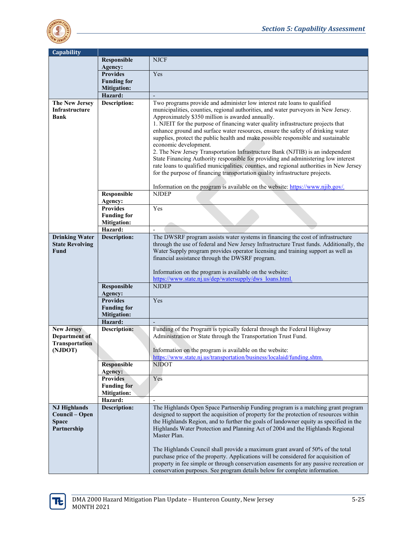

| <b>Capability</b>      |                               |                                                                                                            |
|------------------------|-------------------------------|------------------------------------------------------------------------------------------------------------|
|                        | Responsible                   | <b>NJCF</b>                                                                                                |
|                        | Agency:                       |                                                                                                            |
|                        | <b>Provides</b>               | Yes                                                                                                        |
|                        | <b>Funding for</b>            |                                                                                                            |
|                        | <b>Mitigation:</b>            |                                                                                                            |
|                        | Hazard:                       |                                                                                                            |
| The New Jersey         | <b>Description:</b>           | Two programs provide and administer low interest rate loans to qualified                                   |
| Infrastructure         |                               | municipalities, counties, regional authorities, and water purveyors in New Jersey.                         |
| Bank                   |                               | Approximately \$350 million is awarded annually.                                                           |
|                        |                               | 1. NJEIT for the purpose of financing water quality infrastructure projects that                           |
|                        |                               | enhance ground and surface water resources, ensure the safety of drinking water                            |
|                        |                               | supplies, protect the public health and make possible responsible and sustainable<br>economic development. |
|                        |                               | 2. The New Jersey Transportation Infrastructure Bank (NJTIB) is an independent                             |
|                        |                               | State Financing Authority responsible for providing and administering low interest                         |
|                        |                               | rate loans to qualified municipalities, counties, and regional authorities in New Jersey                   |
|                        |                               | for the purpose of financing transportation quality infrastructure projects.                               |
|                        |                               |                                                                                                            |
|                        |                               | Information on the program is available on the website: https://www.njib.gov/.                             |
|                        | Responsible                   | <b>NJDEP</b>                                                                                               |
|                        | Agency:                       |                                                                                                            |
|                        | <b>Provides</b>               | Yes                                                                                                        |
|                        | <b>Funding for</b>            |                                                                                                            |
|                        | <b>Mitigation:</b>            |                                                                                                            |
|                        | Hazard:                       |                                                                                                            |
| <b>Drinking Water</b>  | <b>Description:</b>           | The DWSRF program assists water systems in financing the cost of infrastructure                            |
| <b>State Revolving</b> |                               | through the use of federal and New Jersey Infrastructure Trust funds. Additionally, the                    |
| Fund                   |                               | Water Supply program provides operator licensing and training support as well as                           |
|                        |                               | financial assistance through the DWSRF program.                                                            |
|                        |                               | Information on the program is available on the website:                                                    |
|                        |                               | https://www.state.nj.us/dep/watersupply/dws loans.html.                                                    |
|                        | Responsible                   | <b>NJDEP</b>                                                                                               |
|                        | Agency:                       |                                                                                                            |
|                        | <b>Provides</b>               | Yes                                                                                                        |
|                        | <b>Funding for</b>            |                                                                                                            |
|                        | <b>Mitigation:</b>            |                                                                                                            |
|                        | Hazard:                       |                                                                                                            |
| New Jersey             | <b>Description:</b>           | Funding of the Program is typically federal through the Federal Highway                                    |
| Department of          |                               | Administration or State through the Transportation Trust Fund.                                             |
| <b>Transportation</b>  |                               |                                                                                                            |
| (NJDOT)                |                               | Information on the program is available on the website:                                                    |
|                        |                               | https://www.state.nj.us/transportation/business/localaid/funding.shtm.<br><b>NJDOT</b>                     |
|                        | <b>Responsible</b><br>Agency: |                                                                                                            |
|                        | <b>Provides</b>               | Yes                                                                                                        |
|                        | <b>Funding for</b>            |                                                                                                            |
|                        | <b>Mitigation:</b>            |                                                                                                            |
|                        | Hazard:                       |                                                                                                            |
| <b>NJ Highlands</b>    | <b>Description:</b>           | The Highlands Open Space Partnership Funding program is a matching grant program                           |
| Council – Open         |                               | designed to support the acquisition of property for the protection of resources within                     |
| <b>Space</b>           |                               | the Highlands Region, and to further the goals of landowner equity as specified in the                     |
| Partnership            |                               | Highlands Water Protection and Planning Act of 2004 and the Highlands Regional                             |
|                        |                               | Master Plan.                                                                                               |
|                        |                               |                                                                                                            |
|                        |                               | The Highlands Council shall provide a maximum grant award of 50% of the total                              |
|                        |                               | purchase price of the property. Applications will be considered for acquisition of                         |
|                        |                               | property in fee simple or through conservation easements for any passive recreation or                     |
|                        |                               | conservation purposes. See program details below for complete information.                                 |

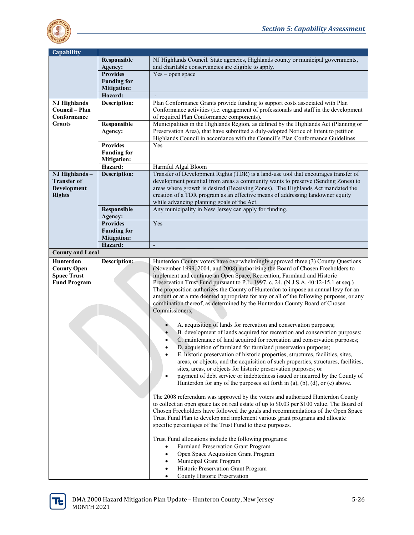

| <b>Capability</b>                                                            |                     |                                                                                                                                                                                                                                                                                                                                                                                                                                                                                                                                                                                                                                                                                                                                  |
|------------------------------------------------------------------------------|---------------------|----------------------------------------------------------------------------------------------------------------------------------------------------------------------------------------------------------------------------------------------------------------------------------------------------------------------------------------------------------------------------------------------------------------------------------------------------------------------------------------------------------------------------------------------------------------------------------------------------------------------------------------------------------------------------------------------------------------------------------|
|                                                                              | Responsible         | NJ Highlands Council. State agencies, Highlands county or municipal governments,                                                                                                                                                                                                                                                                                                                                                                                                                                                                                                                                                                                                                                                 |
|                                                                              | Agency:             | and charitable conservancies are eligible to apply.                                                                                                                                                                                                                                                                                                                                                                                                                                                                                                                                                                                                                                                                              |
|                                                                              | <b>Provides</b>     | $Yes - open space$                                                                                                                                                                                                                                                                                                                                                                                                                                                                                                                                                                                                                                                                                                               |
|                                                                              | <b>Funding for</b>  |                                                                                                                                                                                                                                                                                                                                                                                                                                                                                                                                                                                                                                                                                                                                  |
|                                                                              | <b>Mitigation:</b>  |                                                                                                                                                                                                                                                                                                                                                                                                                                                                                                                                                                                                                                                                                                                                  |
|                                                                              | Hazard:             |                                                                                                                                                                                                                                                                                                                                                                                                                                                                                                                                                                                                                                                                                                                                  |
| <b>NJ Highlands</b>                                                          | Description:        | Plan Conformance Grants provide funding to support costs associated with Plan                                                                                                                                                                                                                                                                                                                                                                                                                                                                                                                                                                                                                                                    |
| Council - Plan                                                               |                     | Conformance activities (i.e. engagement of professionals and staff in the development                                                                                                                                                                                                                                                                                                                                                                                                                                                                                                                                                                                                                                            |
| Conformance                                                                  |                     | of required Plan Conformance components).                                                                                                                                                                                                                                                                                                                                                                                                                                                                                                                                                                                                                                                                                        |
| <b>Grants</b>                                                                | Responsible         | Municipalities in the Highlands Region, as defined by the Highlands Act (Planning or                                                                                                                                                                                                                                                                                                                                                                                                                                                                                                                                                                                                                                             |
|                                                                              | Agency:             | Preservation Area), that have submitted a duly-adopted Notice of Intent to petition                                                                                                                                                                                                                                                                                                                                                                                                                                                                                                                                                                                                                                              |
|                                                                              | <b>Provides</b>     | Highlands Council in accordance with the Council's Plan Conformance Guidelines.<br>Yes                                                                                                                                                                                                                                                                                                                                                                                                                                                                                                                                                                                                                                           |
|                                                                              | <b>Funding for</b>  |                                                                                                                                                                                                                                                                                                                                                                                                                                                                                                                                                                                                                                                                                                                                  |
|                                                                              | <b>Mitigation:</b>  |                                                                                                                                                                                                                                                                                                                                                                                                                                                                                                                                                                                                                                                                                                                                  |
|                                                                              | Hazard:             | Harmful Algal Bloom                                                                                                                                                                                                                                                                                                                                                                                                                                                                                                                                                                                                                                                                                                              |
| NJ Highlands-                                                                | <b>Description:</b> | Transfer of Development Rights (TDR) is a land-use tool that encourages transfer of                                                                                                                                                                                                                                                                                                                                                                                                                                                                                                                                                                                                                                              |
| <b>Transfer of</b>                                                           |                     | development potential from areas a community wants to preserve (Sending Zones) to                                                                                                                                                                                                                                                                                                                                                                                                                                                                                                                                                                                                                                                |
| Development                                                                  |                     | areas where growth is desired (Receiving Zones). The Highlands Act mandated the                                                                                                                                                                                                                                                                                                                                                                                                                                                                                                                                                                                                                                                  |
| <b>Rights</b>                                                                |                     | creation of a TDR program as an effective means of addressing landowner equity                                                                                                                                                                                                                                                                                                                                                                                                                                                                                                                                                                                                                                                   |
|                                                                              |                     | while advancing planning goals of the Act.                                                                                                                                                                                                                                                                                                                                                                                                                                                                                                                                                                                                                                                                                       |
|                                                                              | Responsible         | Any municipality in New Jersey can apply for funding.                                                                                                                                                                                                                                                                                                                                                                                                                                                                                                                                                                                                                                                                            |
|                                                                              | Agency:             |                                                                                                                                                                                                                                                                                                                                                                                                                                                                                                                                                                                                                                                                                                                                  |
|                                                                              | <b>Provides</b>     | Yes                                                                                                                                                                                                                                                                                                                                                                                                                                                                                                                                                                                                                                                                                                                              |
|                                                                              | <b>Funding for</b>  |                                                                                                                                                                                                                                                                                                                                                                                                                                                                                                                                                                                                                                                                                                                                  |
|                                                                              | <b>Mitigation:</b>  |                                                                                                                                                                                                                                                                                                                                                                                                                                                                                                                                                                                                                                                                                                                                  |
|                                                                              | Hazard:             | $\overline{a}$                                                                                                                                                                                                                                                                                                                                                                                                                                                                                                                                                                                                                                                                                                                   |
| <b>County and Local</b>                                                      |                     |                                                                                                                                                                                                                                                                                                                                                                                                                                                                                                                                                                                                                                                                                                                                  |
| Hunterdon<br><b>County Open</b><br><b>Space Trust</b><br><b>Fund Program</b> | Description:        | Hunterdon County voters have overwhelmingly approved three (3) County Questions<br>(November 1999, 2004, and 2008) authorizing the Board of Chosen Freeholders to<br>implement and continue an Open Space, Recreation, Farmland and Historic<br>Preservation Trust Fund pursuant to P.L. 1997, c. 24. (N.J.S.A. 40:12-15.1 et seq.)<br>The proposition authorizes the County of Hunterdon to impose an annual levy for an<br>amount or at a rate deemed appropriate for any or all of the following purposes, or any<br>combination thereof, as determined by the Hunterdon County Board of Chosen<br>Commissioners;                                                                                                             |
|                                                                              |                     | A. acquisition of lands for recreation and conservation purposes;<br>B. development of lands acquired for recreation and conservation purposes;<br>C. maintenance of land acquired for recreation and conservation purposes;<br>D. acquisition of farmland for farmland preservation purposes;<br>E. historic preservation of historic properties, structures, facilities, sites,<br>areas, or objects, and the acquisition of such properties, structures, facilities,<br>sites, areas, or objects for historic preservation purposes; or<br>payment of debt service or indebtedness issued or incurred by the County of<br>$\bullet$<br>Hunterdon for any of the purposes set forth in $(a)$ , $(b)$ , $(d)$ , or $(e)$ above. |
|                                                                              |                     | The 2008 referendum was approved by the voters and authorized Hunterdon County<br>to collect an open space tax on real estate of up to \$0.03 per \$100 value. The Board of<br>Chosen Freeholders have followed the goals and recommendations of the Open Space<br>Trust Fund Plan to develop and implement various grant programs and allocate<br>specific percentages of the Trust Fund to these purposes.<br>Trust Fund allocations include the following programs:<br>Farmland Preservation Grant Program<br>Open Space Acquisition Grant Program<br>٠<br>Municipal Grant Program<br>$\bullet$<br>Historic Preservation Grant Program<br>$\bullet$                                                                           |
|                                                                              |                     | County Historic Preservation                                                                                                                                                                                                                                                                                                                                                                                                                                                                                                                                                                                                                                                                                                     |